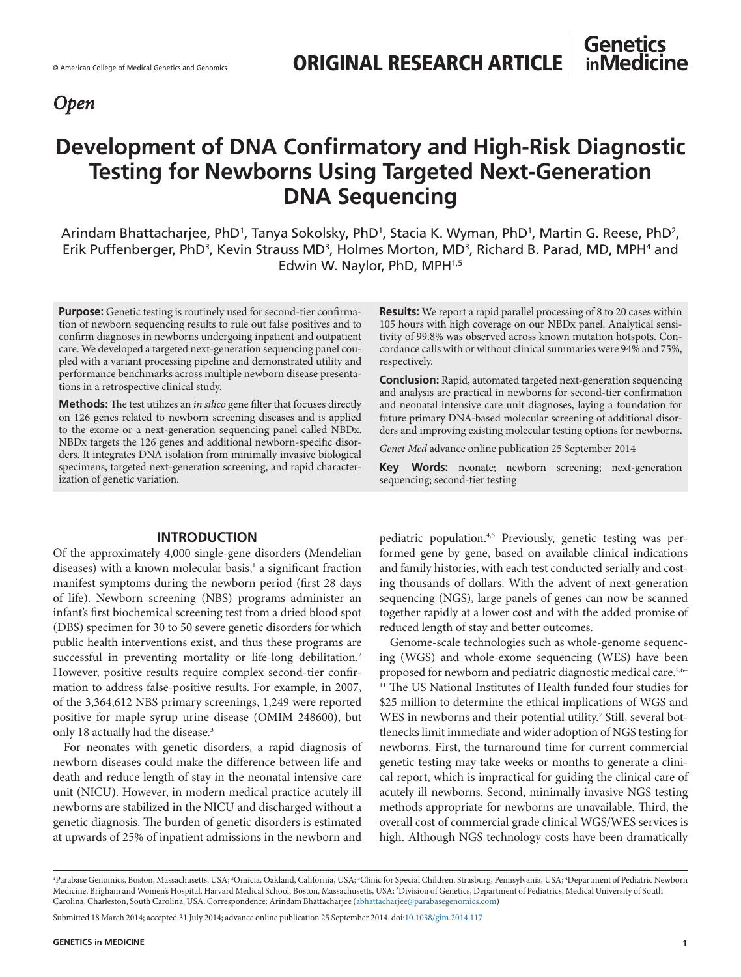# *Open*

# **Development of DNA Confirmatory and High-Risk Diagnostic Testing for Newborns Using Targeted Next-Generation DNA Sequencing**

Arindam Bhattacharjee, PhD<sup>1</sup>, Tanya Sokolsky, PhD<sup>1</sup>, Stacia K. Wyman, PhD<sup>1</sup>, Martin G. Reese, PhD<sup>2</sup>, Erik Puffenberger, PhD<sup>3</sup>, Kevin Strauss MD<sup>3</sup>, Holmes Morton, MD<sup>3</sup>, Richard B. Parad, MD, MPH<sup>4</sup> and Edwin W. Naylor, PhD, MPH1,5

**Purpose:** Genetic testing is routinely used for second-tier confirmation of newborn sequencing results to rule out false positives and to confirm diagnoses in newborns undergoing inpatient and outpatient care. We developed a targeted next-generation sequencing panel coupled with a variant processing pipeline and demonstrated utility and performance benchmarks across multiple newborn disease presentations in a retrospective clinical study.

**Methods:** The test utilizes an *in silico* gene filter that focuses directly on 126 genes related to newborn screening diseases and is applied to the exome or a next-generation sequencing panel called NBDx. NBDx targets the 126 genes and additional newborn-specific disorders. It integrates DNA isolation from minimally invasive biological specimens, targeted next-generation screening, and rapid characterization of genetic variation.

## **INTRODUCTION**

Of the approximately 4,000 single-gene disorders (Mendelian diseases) with a known molecular basis,<sup>1</sup> a significant fraction manifest symptoms during the newborn period (first 28 days of life). Newborn screening (NBS) programs administer an infant's first biochemical screening test from a dried blood spot (DBS) specimen for 30 to 50 severe genetic disorders for which public health interventions exist, and thus these programs are successful in preventing mortality or life-long debilitation.<sup>2</sup> However, positive results require complex second-tier confirmation to address false-positive results. For example, in 2007, of the 3,364,612 NBS primary screenings, 1,249 were reported positive for maple syrup urine disease (OMIM 248600), but only 18 actually had the disease.<sup>3</sup>

For neonates with genetic disorders, a rapid diagnosis of newborn diseases could make the difference between life and death and reduce length of stay in the neonatal intensive care unit (NICU). However, in modern medical practice acutely ill newborns are stabilized in the NICU and discharged without a genetic diagnosis. The burden of genetic disorders is estimated at upwards of 25% of inpatient admissions in the newborn and

**Results:** We report a rapid parallel processing of 8 to 20 cases within 105 hours with high coverage on our NBDx panel. Analytical sensitivity of 99.8% was observed across known mutation hotspots. Concordance calls with or without clinical summaries were 94% and 75%, respectively.

**Conclusion:** Rapid, automated targeted next-generation sequencing and analysis are practical in newborns for second-tier confirmation and neonatal intensive care unit diagnoses, laying a foundation for future primary DNA-based molecular screening of additional disorders and improving existing molecular testing options for newborns.

*Genet Med* advance online publication 25 September 2014

**Key Words:** neonate; newborn screening; next-generation sequencing; second-tier testing

pediatric population.<sup>4,5</sup> Previously, genetic testing was performed gene by gene, based on available clinical indications and family histories, with each test conducted serially and costing thousands of dollars. With the advent of next-generation sequencing (NGS), large panels of genes can now be scanned together rapidly at a lower cost and with the added promise of reduced length of stay and better outcomes.

Genome-scale technologies such as whole-genome sequencing (WGS) and whole-exome sequencing (WES) have been proposed for newborn and pediatric diagnostic medical care.2,6– <sup>11</sup> The US National Institutes of Health funded four studies for \$25 million to determine the ethical implications of WGS and WES in newborns and their potential utility.<sup>7</sup> Still, several bottlenecks limit immediate and wider adoption of NGS testing for newborns. First, the turnaround time for current commercial genetic testing may take weeks or months to generate a clinical report, which is impractical for guiding the clinical care of acutely ill newborns. Second, minimally invasive NGS testing methods appropriate for newborns are unavailable. Third, the overall cost of commercial grade clinical WGS/WES services is high. Although NGS technology costs have been dramatically

<sup>&#</sup>x27;Parabase Genomics, Boston, Massachusetts, USA; <sup>2</sup>Omicia, Oakland, California, USA; <sup>3</sup>Clinic for Special Children, Strasburg, Pennsylvania, USA; <sup>4</sup>Department of Pediatric Newborn Medicine, Brigham and Women's Hospital, Harvard Medical School, Boston, Massachusetts, USA; 5Division of Genetics, Department of Pediatrics, Medical University of South Carolina, Charleston, South Carolina, USA. Correspondence: Arindam Bhattacharjee ([abhattacharjee@parabasegenomics.com\)](mailto:abhattacharjee@parabasegenomics.com)

Submitted 18 March 2014; accepted 31 July 2014; advance online publication 25 September 2014. doi[:10.1038/gim.2014.117](http://www.nature.com/doifinder/10.1038/gim.2014.117)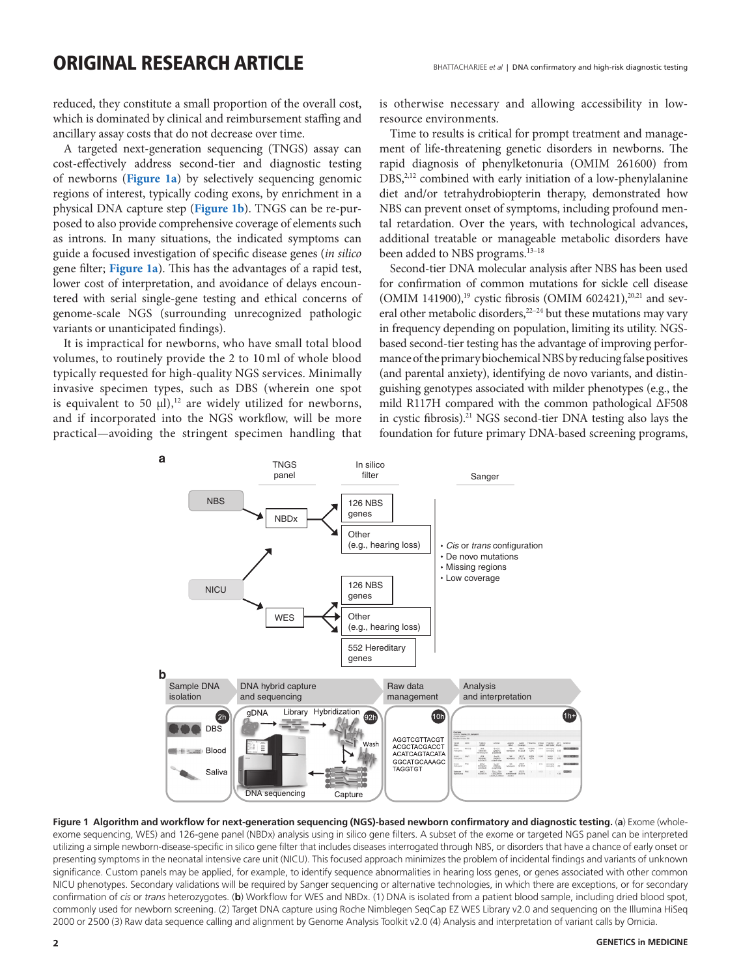reduced, they constitute a small proportion of the overall cost, which is dominated by clinical and reimbursement staffing and ancillary assay costs that do not decrease over time.

A targeted next-generation sequencing (TNGS) assay can cost-effectively address second-tier and diagnostic testing of newborns (**Figure 1a**) by selectively sequencing genomic regions of interest, typically coding exons, by enrichment in a physical DNA capture step (**Figure 1b**). TNGS can be re-purposed to also provide comprehensive coverage of elements such as introns. In many situations, the indicated symptoms can guide a focused investigation of specific disease genes (*in silico* gene filter; **Figure 1a**). This has the advantages of a rapid test, lower cost of interpretation, and avoidance of delays encountered with serial single-gene testing and ethical concerns of genome-scale NGS (surrounding unrecognized pathologic variants or unanticipated findings).

It is impractical for newborns, who have small total blood volumes, to routinely provide the 2 to 10 ml of whole blood typically requested for high-quality NGS services. Minimally invasive specimen types, such as DBS (wherein one spot is equivalent to 50  $\mu$ l),<sup>12</sup> are widely utilized for newborns, and if incorporated into the NGS workflow, will be more practical—avoiding the stringent specimen handling that is otherwise necessary and allowing accessibility in lowresource environments.

Time to results is critical for prompt treatment and management of life-threatening genetic disorders in newborns. The rapid diagnosis of phenylketonuria (OMIM 261600) from DBS,<sup>2,12</sup> combined with early initiation of a low-phenylalanine diet and/or tetrahydrobiopterin therapy, demonstrated how NBS can prevent onset of symptoms, including profound mental retardation. Over the years, with technological advances, additional treatable or manageable metabolic disorders have been added to NBS programs.<sup>13-18</sup>

Second-tier DNA molecular analysis after NBS has been used for confirmation of common mutations for sickle cell disease (OMIM 141900),<sup>19</sup> cystic fibrosis (OMIM 602421),<sup>20,21</sup> and several other metabolic disorders,<sup>22-24</sup> but these mutations may vary in frequency depending on population, limiting its utility. NGSbased second-tier testing has the advantage of improving performance of the primary biochemical NBS by reducing false positives (and parental anxiety), identifying de novo variants, and distinguishing genotypes associated with milder phenotypes (e.g., the mild R117H compared with the common pathological ΔF508 in cystic fibrosis).21 NGS second-tier DNA testing also lays the foundation for future primary DNA-based screening programs,



**Figure 1 Algorithm and workflow for next-generation sequencing (NGS)-based newborn confirmatory and diagnostic testing.** (**a**) Exome (wholeexome sequencing, WES) and 126-gene panel (NBDx) analysis using in silico gene filters. A subset of the exome or targeted NGS panel can be interpreted utilizing a simple newborn-disease-specific in silico gene filter that includes diseases interrogated through NBS, or disorders that have a chance of early onset or presenting symptoms in the neonatal intensive care unit (NICU). This focused approach minimizes the problem of incidental findings and variants of unknown significance. Custom panels may be applied, for example, to identify sequence abnormalities in hearing loss genes, or genes associated with other common NICU phenotypes. Secondary validations will be required by Sanger sequencing or alternative technologies, in which there are exceptions, or for secondary confirmation of *cis* or *trans* heterozygotes. (**b**) Workflow for WES and NBDx. (1) DNA is isolated from a patient blood sample, including dried blood spot, commonly used for newborn screening. (2) Target DNA capture using Roche Nimblegen SeqCap EZ WES Library v2.0 and sequencing on the Illumina HiSeq 2000 or 2500 (3) Raw data sequence calling and alignment by Genome Analysis Toolkit v2.0 (4) Analysis and interpretation of variant calls by Omicia.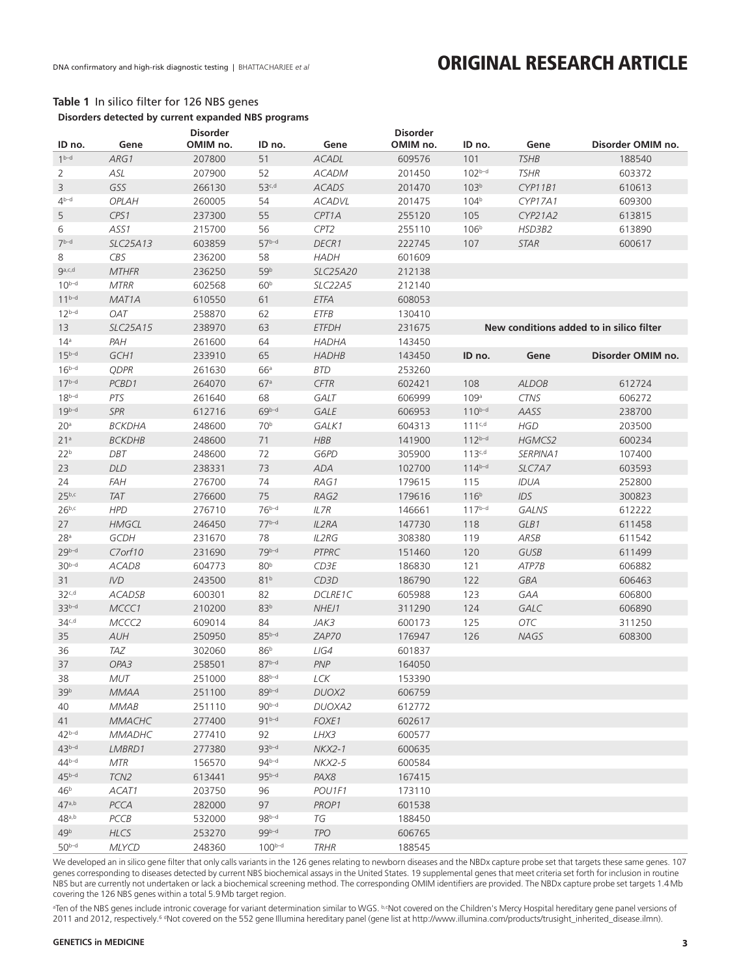# **Table 1** In silico filter for 126 NBS genes

| <b>Disorder</b><br><b>Disorder</b><br>OMIM no.<br>OMIM no.<br>Gene<br>ID no.<br>Gene<br>ID no.<br>Gene<br>ID no.<br>Disorder OMIM no.<br>$1^{b-d}$<br>51<br>207800<br>ACADL<br>609576<br>101<br><b>TSHB</b><br>ARG1<br>188540<br>52<br>$102^{b-d}$<br>$\overline{2}$<br>ASL<br>207900<br><b>ACADM</b><br>201450<br><b>TSHR</b><br>603372<br>$\mathsf 3$<br>GSS<br>$53^{c,d}$<br>266130<br><b>ACADS</b><br>201470<br>103 <sup>b</sup><br>CYP11B1<br>610613<br>$4^{b-d}$<br>104 <sup>b</sup><br>OPLAH<br>260005<br>54<br><b>ACADVL</b><br>201475<br>CYP17A1<br>609300<br>5<br>CPS1<br>237300<br>55<br>CPT1A<br>255120<br>105<br>CYP21A2<br>613815<br>6<br>ASS <sub>1</sub><br>215700<br>56<br>CPT <sub>2</sub><br>255110<br>106 <sup>b</sup><br>HSD3B2<br>613890<br>$7b-d$<br>$57b-d$<br>DECR1<br>107<br>SLC25A13<br>603859<br>222745<br><b>STAR</b><br>600617<br>8<br>CBS<br>58<br>236200<br><b>HADH</b><br>601609<br>$Q^{a,c,d}$<br>59 <sup>b</sup><br>MTHFR<br>236250<br>SLC25A20<br>212138<br>$10^{b-d}$<br>60 <sup>b</sup><br><b>MTRR</b><br>602568<br>SLC22A5<br>212140<br>$11^{b-d}$<br>61<br>MAT <sub>1</sub> A<br>610550<br><b>ETFA</b><br>608053<br>$12^{b-d}$<br><b>OAT</b><br>258870<br>62<br><b>ETFB</b><br>130410<br>13<br>238970<br>63<br><b>ETFDH</b><br>231675<br>New conditions added to in silico filter<br>SLC25A15<br>64<br>14 <sup>a</sup><br>PAH<br>261600<br><b>HADHA</b><br>143450<br>$15^{b-d}$<br>GCH1<br>233910<br>65<br><b>HADHB</b><br>143450<br>ID no.<br>Gene<br>Disorder OMIM no.<br>$16^{b-d}$<br>66a<br><b>QDPR</b><br>261630<br><b>BTD</b><br>253260<br>$17^{b-d}$<br>PCBD1<br>264070<br>67a<br><b>CFTR</b><br>602421<br>108<br><b>ALDOB</b><br>612724<br>$18^{b-d}$<br>68<br>PTS<br>GALT<br>109a<br><b>CTNS</b><br>261640<br>606999<br>606272<br>$19^{b-d}$<br>SPR<br>$69b-d$<br>GALE<br>612716<br>606953<br>$110^{b-d}$<br>AASS<br>238700<br>20 <sup>a</sup><br>70 <sup>b</sup><br>GALK1<br>$111^{c,d}$<br><b>HGD</b><br><b>BCKDHA</b><br>248600<br>604313<br>203500<br>21 <sup>a</sup><br>248600<br>71<br><b>HBB</b><br>$112^{b-d}$<br>HGMCS2<br><b>BCKDHB</b><br>141900<br>600234<br>22 <sup>b</sup><br>$113^{c,d}$<br>DBT<br>248600<br>72<br>G6PD<br>305900<br>SERPINA1<br>107400<br>73<br>23<br>DLD<br>ADA<br>$114^{b-d}$<br>238331<br>102700<br>SLC7A7<br>603593<br>74<br>24<br><b>FAH</b><br>276700<br>RAG1<br>179615<br>115<br>IDUA<br>252800<br>$25^{b,c}$<br>75<br>TAT<br>116 <sup>b</sup><br>IDS<br>276600<br>RAG2<br>179616<br>300823<br>$26^{b,c}$<br>$76^{b-d}$<br><b>HPD</b><br>$117^{b-d}$<br>276710<br>IL7R<br>146661<br><b>GALNS</b><br>612222<br>$77b-d$<br>27<br><b>HMGCL</b><br>246450<br>IL2RA<br>147730<br>GLB1<br>118<br>611458<br>28 <sup>a</sup><br>GCDH<br>231670<br>78<br><b>IL2RG</b><br>308380<br>119<br>ARSB<br>611542<br>$29b-d$<br>79b-d<br>C7orf10<br>231690<br>PTPRC<br>GUSB<br>151460<br>120<br>611499<br>$30b-d$<br>80 <sup>b</sup><br>$C$ D3E<br>ACAD8<br>604773<br>186830<br>121<br>ATP7B<br>606882<br>81 <sup>b</sup><br>31<br>IVD<br>243500<br>CD3D<br>122<br>GBA<br>186790<br>606463<br>32c,d<br>82<br><b>ACADSB</b><br>600301<br>DCLRE1C<br>605988<br>123<br>GAA<br>606800<br>$33b-d$<br>83 <sup>b</sup><br>124<br>MCCC1<br>210200<br>NHEJ1<br>311290<br>GALC<br>606890<br>34 <sub>c,d</sub><br>84<br>125<br><b>OTC</b><br>MCCC2<br>609014<br>JAK3<br>600173<br>311250<br>$85^{b-d}$<br>35<br>A U H<br>250950<br>ZAP70<br>176947<br>126<br>NAGS<br>608300<br>86 <sup>b</sup><br>36<br><b>TAZ</b><br>LIG4<br>302060<br>601837<br>$87b-d$<br><b>PNP</b><br>37<br>OPA3<br>258501<br>164050<br>$88^{b-d}$<br>38<br><b>MUT</b><br>251000<br>LCK<br>153390<br>$89b-d$<br>39 <sup>b</sup><br>DUOX2<br><b>MMAA</b><br>251100<br>606759<br>$90b-d$<br>40<br><b>MMAB</b><br>251110<br>DUOXA2<br>612772<br>$91^{b-d}$<br>277400<br>FOXE1<br>602617<br>41<br><b>MMACHC</b><br>$42b-d$<br>92<br><b>MMADHC</b><br>277410<br>LHX3<br>600577<br>$43^{b-d}$<br>$93b-d$<br>277380<br>$NKX2-1$<br>600635<br>LMBRD1<br>$44^{b-d}$<br>$94^{b-d}$<br><b>MTR</b><br>156570<br><b>NKX2-5</b><br>600584<br>$45b-d$<br>$95b-d$<br>PAX8<br>TCN <sub>2</sub><br>613441<br>167415<br>46 <sup>b</sup><br>ACAT1<br>203750<br>96<br>POU1F1<br>173110<br>47a,b<br>PCCA<br>97<br>282000<br>PROP1<br>601538<br>$48$ <sub>a,b</sub><br>$98b-d$<br>PCCB<br>532000<br>TG<br>188450<br>$99b-d$<br>49 <sup>b</sup><br><b>TPO</b><br><b>HLCS</b><br>253270<br>606765 | Disorders detected by current expanded NBS programs |              |        |             |             |        |  |  |  |  |  |
|-----------------------------------------------------------------------------------------------------------------------------------------------------------------------------------------------------------------------------------------------------------------------------------------------------------------------------------------------------------------------------------------------------------------------------------------------------------------------------------------------------------------------------------------------------------------------------------------------------------------------------------------------------------------------------------------------------------------------------------------------------------------------------------------------------------------------------------------------------------------------------------------------------------------------------------------------------------------------------------------------------------------------------------------------------------------------------------------------------------------------------------------------------------------------------------------------------------------------------------------------------------------------------------------------------------------------------------------------------------------------------------------------------------------------------------------------------------------------------------------------------------------------------------------------------------------------------------------------------------------------------------------------------------------------------------------------------------------------------------------------------------------------------------------------------------------------------------------------------------------------------------------------------------------------------------------------------------------------------------------------------------------------------------------------------------------------------------------------------------------------------------------------------------------------------------------------------------------------------------------------------------------------------------------------------------------------------------------------------------------------------------------------------------------------------------------------------------------------------------------------------------------------------------------------------------------------------------------------------------------------------------------------------------------------------------------------------------------------------------------------------------------------------------------------------------------------------------------------------------------------------------------------------------------------------------------------------------------------------------------------------------------------------------------------------------------------------------------------------------------------------------------------------------------------------------------------------------------------------------------------------------------------------------------------------------------------------------------------------------------------------------------------------------------------------------------------------------------------------------------------------------------------------------------------------------------------------------------------------------------------------------------------------------------------------------------------------------------------------------------------------------------------------------------------------------------------------------------------------------------------------------------------------------------------------------------------------------------------------------------------------------------------------------------------------------------------------------------------------------------------------------------------------------------------------------------------------------------------------------------------------------------------------------------------------------------------------------------------------------------------------------------------------------|-----------------------------------------------------|--------------|--------|-------------|-------------|--------|--|--|--|--|--|
|                                                                                                                                                                                                                                                                                                                                                                                                                                                                                                                                                                                                                                                                                                                                                                                                                                                                                                                                                                                                                                                                                                                                                                                                                                                                                                                                                                                                                                                                                                                                                                                                                                                                                                                                                                                                                                                                                                                                                                                                                                                                                                                                                                                                                                                                                                                                                                                                                                                                                                                                                                                                                                                                                                                                                                                                                                                                                                                                                                                                                                                                                                                                                                                                                                                                                                                                                                                                                                                                                                                                                                                                                                                                                                                                                                                                                                                                                                                                                                                                                                                                                                                                                                                                                                                                                                                                                                                                           |                                                     |              |        |             |             |        |  |  |  |  |  |
|                                                                                                                                                                                                                                                                                                                                                                                                                                                                                                                                                                                                                                                                                                                                                                                                                                                                                                                                                                                                                                                                                                                                                                                                                                                                                                                                                                                                                                                                                                                                                                                                                                                                                                                                                                                                                                                                                                                                                                                                                                                                                                                                                                                                                                                                                                                                                                                                                                                                                                                                                                                                                                                                                                                                                                                                                                                                                                                                                                                                                                                                                                                                                                                                                                                                                                                                                                                                                                                                                                                                                                                                                                                                                                                                                                                                                                                                                                                                                                                                                                                                                                                                                                                                                                                                                                                                                                                                           |                                                     |              |        |             |             |        |  |  |  |  |  |
|                                                                                                                                                                                                                                                                                                                                                                                                                                                                                                                                                                                                                                                                                                                                                                                                                                                                                                                                                                                                                                                                                                                                                                                                                                                                                                                                                                                                                                                                                                                                                                                                                                                                                                                                                                                                                                                                                                                                                                                                                                                                                                                                                                                                                                                                                                                                                                                                                                                                                                                                                                                                                                                                                                                                                                                                                                                                                                                                                                                                                                                                                                                                                                                                                                                                                                                                                                                                                                                                                                                                                                                                                                                                                                                                                                                                                                                                                                                                                                                                                                                                                                                                                                                                                                                                                                                                                                                                           |                                                     |              |        |             |             |        |  |  |  |  |  |
|                                                                                                                                                                                                                                                                                                                                                                                                                                                                                                                                                                                                                                                                                                                                                                                                                                                                                                                                                                                                                                                                                                                                                                                                                                                                                                                                                                                                                                                                                                                                                                                                                                                                                                                                                                                                                                                                                                                                                                                                                                                                                                                                                                                                                                                                                                                                                                                                                                                                                                                                                                                                                                                                                                                                                                                                                                                                                                                                                                                                                                                                                                                                                                                                                                                                                                                                                                                                                                                                                                                                                                                                                                                                                                                                                                                                                                                                                                                                                                                                                                                                                                                                                                                                                                                                                                                                                                                                           |                                                     |              |        |             |             |        |  |  |  |  |  |
|                                                                                                                                                                                                                                                                                                                                                                                                                                                                                                                                                                                                                                                                                                                                                                                                                                                                                                                                                                                                                                                                                                                                                                                                                                                                                                                                                                                                                                                                                                                                                                                                                                                                                                                                                                                                                                                                                                                                                                                                                                                                                                                                                                                                                                                                                                                                                                                                                                                                                                                                                                                                                                                                                                                                                                                                                                                                                                                                                                                                                                                                                                                                                                                                                                                                                                                                                                                                                                                                                                                                                                                                                                                                                                                                                                                                                                                                                                                                                                                                                                                                                                                                                                                                                                                                                                                                                                                                           |                                                     |              |        |             |             |        |  |  |  |  |  |
|                                                                                                                                                                                                                                                                                                                                                                                                                                                                                                                                                                                                                                                                                                                                                                                                                                                                                                                                                                                                                                                                                                                                                                                                                                                                                                                                                                                                                                                                                                                                                                                                                                                                                                                                                                                                                                                                                                                                                                                                                                                                                                                                                                                                                                                                                                                                                                                                                                                                                                                                                                                                                                                                                                                                                                                                                                                                                                                                                                                                                                                                                                                                                                                                                                                                                                                                                                                                                                                                                                                                                                                                                                                                                                                                                                                                                                                                                                                                                                                                                                                                                                                                                                                                                                                                                                                                                                                                           |                                                     |              |        |             |             |        |  |  |  |  |  |
|                                                                                                                                                                                                                                                                                                                                                                                                                                                                                                                                                                                                                                                                                                                                                                                                                                                                                                                                                                                                                                                                                                                                                                                                                                                                                                                                                                                                                                                                                                                                                                                                                                                                                                                                                                                                                                                                                                                                                                                                                                                                                                                                                                                                                                                                                                                                                                                                                                                                                                                                                                                                                                                                                                                                                                                                                                                                                                                                                                                                                                                                                                                                                                                                                                                                                                                                                                                                                                                                                                                                                                                                                                                                                                                                                                                                                                                                                                                                                                                                                                                                                                                                                                                                                                                                                                                                                                                                           |                                                     |              |        |             |             |        |  |  |  |  |  |
|                                                                                                                                                                                                                                                                                                                                                                                                                                                                                                                                                                                                                                                                                                                                                                                                                                                                                                                                                                                                                                                                                                                                                                                                                                                                                                                                                                                                                                                                                                                                                                                                                                                                                                                                                                                                                                                                                                                                                                                                                                                                                                                                                                                                                                                                                                                                                                                                                                                                                                                                                                                                                                                                                                                                                                                                                                                                                                                                                                                                                                                                                                                                                                                                                                                                                                                                                                                                                                                                                                                                                                                                                                                                                                                                                                                                                                                                                                                                                                                                                                                                                                                                                                                                                                                                                                                                                                                                           |                                                     |              |        |             |             |        |  |  |  |  |  |
|                                                                                                                                                                                                                                                                                                                                                                                                                                                                                                                                                                                                                                                                                                                                                                                                                                                                                                                                                                                                                                                                                                                                                                                                                                                                                                                                                                                                                                                                                                                                                                                                                                                                                                                                                                                                                                                                                                                                                                                                                                                                                                                                                                                                                                                                                                                                                                                                                                                                                                                                                                                                                                                                                                                                                                                                                                                                                                                                                                                                                                                                                                                                                                                                                                                                                                                                                                                                                                                                                                                                                                                                                                                                                                                                                                                                                                                                                                                                                                                                                                                                                                                                                                                                                                                                                                                                                                                                           |                                                     |              |        |             |             |        |  |  |  |  |  |
|                                                                                                                                                                                                                                                                                                                                                                                                                                                                                                                                                                                                                                                                                                                                                                                                                                                                                                                                                                                                                                                                                                                                                                                                                                                                                                                                                                                                                                                                                                                                                                                                                                                                                                                                                                                                                                                                                                                                                                                                                                                                                                                                                                                                                                                                                                                                                                                                                                                                                                                                                                                                                                                                                                                                                                                                                                                                                                                                                                                                                                                                                                                                                                                                                                                                                                                                                                                                                                                                                                                                                                                                                                                                                                                                                                                                                                                                                                                                                                                                                                                                                                                                                                                                                                                                                                                                                                                                           |                                                     |              |        |             |             |        |  |  |  |  |  |
|                                                                                                                                                                                                                                                                                                                                                                                                                                                                                                                                                                                                                                                                                                                                                                                                                                                                                                                                                                                                                                                                                                                                                                                                                                                                                                                                                                                                                                                                                                                                                                                                                                                                                                                                                                                                                                                                                                                                                                                                                                                                                                                                                                                                                                                                                                                                                                                                                                                                                                                                                                                                                                                                                                                                                                                                                                                                                                                                                                                                                                                                                                                                                                                                                                                                                                                                                                                                                                                                                                                                                                                                                                                                                                                                                                                                                                                                                                                                                                                                                                                                                                                                                                                                                                                                                                                                                                                                           |                                                     |              |        |             |             |        |  |  |  |  |  |
|                                                                                                                                                                                                                                                                                                                                                                                                                                                                                                                                                                                                                                                                                                                                                                                                                                                                                                                                                                                                                                                                                                                                                                                                                                                                                                                                                                                                                                                                                                                                                                                                                                                                                                                                                                                                                                                                                                                                                                                                                                                                                                                                                                                                                                                                                                                                                                                                                                                                                                                                                                                                                                                                                                                                                                                                                                                                                                                                                                                                                                                                                                                                                                                                                                                                                                                                                                                                                                                                                                                                                                                                                                                                                                                                                                                                                                                                                                                                                                                                                                                                                                                                                                                                                                                                                                                                                                                                           |                                                     |              |        |             |             |        |  |  |  |  |  |
|                                                                                                                                                                                                                                                                                                                                                                                                                                                                                                                                                                                                                                                                                                                                                                                                                                                                                                                                                                                                                                                                                                                                                                                                                                                                                                                                                                                                                                                                                                                                                                                                                                                                                                                                                                                                                                                                                                                                                                                                                                                                                                                                                                                                                                                                                                                                                                                                                                                                                                                                                                                                                                                                                                                                                                                                                                                                                                                                                                                                                                                                                                                                                                                                                                                                                                                                                                                                                                                                                                                                                                                                                                                                                                                                                                                                                                                                                                                                                                                                                                                                                                                                                                                                                                                                                                                                                                                                           |                                                     |              |        |             |             |        |  |  |  |  |  |
|                                                                                                                                                                                                                                                                                                                                                                                                                                                                                                                                                                                                                                                                                                                                                                                                                                                                                                                                                                                                                                                                                                                                                                                                                                                                                                                                                                                                                                                                                                                                                                                                                                                                                                                                                                                                                                                                                                                                                                                                                                                                                                                                                                                                                                                                                                                                                                                                                                                                                                                                                                                                                                                                                                                                                                                                                                                                                                                                                                                                                                                                                                                                                                                                                                                                                                                                                                                                                                                                                                                                                                                                                                                                                                                                                                                                                                                                                                                                                                                                                                                                                                                                                                                                                                                                                                                                                                                                           |                                                     |              |        |             |             |        |  |  |  |  |  |
|                                                                                                                                                                                                                                                                                                                                                                                                                                                                                                                                                                                                                                                                                                                                                                                                                                                                                                                                                                                                                                                                                                                                                                                                                                                                                                                                                                                                                                                                                                                                                                                                                                                                                                                                                                                                                                                                                                                                                                                                                                                                                                                                                                                                                                                                                                                                                                                                                                                                                                                                                                                                                                                                                                                                                                                                                                                                                                                                                                                                                                                                                                                                                                                                                                                                                                                                                                                                                                                                                                                                                                                                                                                                                                                                                                                                                                                                                                                                                                                                                                                                                                                                                                                                                                                                                                                                                                                                           |                                                     |              |        |             |             |        |  |  |  |  |  |
|                                                                                                                                                                                                                                                                                                                                                                                                                                                                                                                                                                                                                                                                                                                                                                                                                                                                                                                                                                                                                                                                                                                                                                                                                                                                                                                                                                                                                                                                                                                                                                                                                                                                                                                                                                                                                                                                                                                                                                                                                                                                                                                                                                                                                                                                                                                                                                                                                                                                                                                                                                                                                                                                                                                                                                                                                                                                                                                                                                                                                                                                                                                                                                                                                                                                                                                                                                                                                                                                                                                                                                                                                                                                                                                                                                                                                                                                                                                                                                                                                                                                                                                                                                                                                                                                                                                                                                                                           |                                                     |              |        |             |             |        |  |  |  |  |  |
|                                                                                                                                                                                                                                                                                                                                                                                                                                                                                                                                                                                                                                                                                                                                                                                                                                                                                                                                                                                                                                                                                                                                                                                                                                                                                                                                                                                                                                                                                                                                                                                                                                                                                                                                                                                                                                                                                                                                                                                                                                                                                                                                                                                                                                                                                                                                                                                                                                                                                                                                                                                                                                                                                                                                                                                                                                                                                                                                                                                                                                                                                                                                                                                                                                                                                                                                                                                                                                                                                                                                                                                                                                                                                                                                                                                                                                                                                                                                                                                                                                                                                                                                                                                                                                                                                                                                                                                                           |                                                     |              |        |             |             |        |  |  |  |  |  |
|                                                                                                                                                                                                                                                                                                                                                                                                                                                                                                                                                                                                                                                                                                                                                                                                                                                                                                                                                                                                                                                                                                                                                                                                                                                                                                                                                                                                                                                                                                                                                                                                                                                                                                                                                                                                                                                                                                                                                                                                                                                                                                                                                                                                                                                                                                                                                                                                                                                                                                                                                                                                                                                                                                                                                                                                                                                                                                                                                                                                                                                                                                                                                                                                                                                                                                                                                                                                                                                                                                                                                                                                                                                                                                                                                                                                                                                                                                                                                                                                                                                                                                                                                                                                                                                                                                                                                                                                           |                                                     |              |        |             |             |        |  |  |  |  |  |
|                                                                                                                                                                                                                                                                                                                                                                                                                                                                                                                                                                                                                                                                                                                                                                                                                                                                                                                                                                                                                                                                                                                                                                                                                                                                                                                                                                                                                                                                                                                                                                                                                                                                                                                                                                                                                                                                                                                                                                                                                                                                                                                                                                                                                                                                                                                                                                                                                                                                                                                                                                                                                                                                                                                                                                                                                                                                                                                                                                                                                                                                                                                                                                                                                                                                                                                                                                                                                                                                                                                                                                                                                                                                                                                                                                                                                                                                                                                                                                                                                                                                                                                                                                                                                                                                                                                                                                                                           |                                                     |              |        |             |             |        |  |  |  |  |  |
|                                                                                                                                                                                                                                                                                                                                                                                                                                                                                                                                                                                                                                                                                                                                                                                                                                                                                                                                                                                                                                                                                                                                                                                                                                                                                                                                                                                                                                                                                                                                                                                                                                                                                                                                                                                                                                                                                                                                                                                                                                                                                                                                                                                                                                                                                                                                                                                                                                                                                                                                                                                                                                                                                                                                                                                                                                                                                                                                                                                                                                                                                                                                                                                                                                                                                                                                                                                                                                                                                                                                                                                                                                                                                                                                                                                                                                                                                                                                                                                                                                                                                                                                                                                                                                                                                                                                                                                                           |                                                     |              |        |             |             |        |  |  |  |  |  |
|                                                                                                                                                                                                                                                                                                                                                                                                                                                                                                                                                                                                                                                                                                                                                                                                                                                                                                                                                                                                                                                                                                                                                                                                                                                                                                                                                                                                                                                                                                                                                                                                                                                                                                                                                                                                                                                                                                                                                                                                                                                                                                                                                                                                                                                                                                                                                                                                                                                                                                                                                                                                                                                                                                                                                                                                                                                                                                                                                                                                                                                                                                                                                                                                                                                                                                                                                                                                                                                                                                                                                                                                                                                                                                                                                                                                                                                                                                                                                                                                                                                                                                                                                                                                                                                                                                                                                                                                           |                                                     |              |        |             |             |        |  |  |  |  |  |
|                                                                                                                                                                                                                                                                                                                                                                                                                                                                                                                                                                                                                                                                                                                                                                                                                                                                                                                                                                                                                                                                                                                                                                                                                                                                                                                                                                                                                                                                                                                                                                                                                                                                                                                                                                                                                                                                                                                                                                                                                                                                                                                                                                                                                                                                                                                                                                                                                                                                                                                                                                                                                                                                                                                                                                                                                                                                                                                                                                                                                                                                                                                                                                                                                                                                                                                                                                                                                                                                                                                                                                                                                                                                                                                                                                                                                                                                                                                                                                                                                                                                                                                                                                                                                                                                                                                                                                                                           |                                                     |              |        |             |             |        |  |  |  |  |  |
|                                                                                                                                                                                                                                                                                                                                                                                                                                                                                                                                                                                                                                                                                                                                                                                                                                                                                                                                                                                                                                                                                                                                                                                                                                                                                                                                                                                                                                                                                                                                                                                                                                                                                                                                                                                                                                                                                                                                                                                                                                                                                                                                                                                                                                                                                                                                                                                                                                                                                                                                                                                                                                                                                                                                                                                                                                                                                                                                                                                                                                                                                                                                                                                                                                                                                                                                                                                                                                                                                                                                                                                                                                                                                                                                                                                                                                                                                                                                                                                                                                                                                                                                                                                                                                                                                                                                                                                                           |                                                     |              |        |             |             |        |  |  |  |  |  |
|                                                                                                                                                                                                                                                                                                                                                                                                                                                                                                                                                                                                                                                                                                                                                                                                                                                                                                                                                                                                                                                                                                                                                                                                                                                                                                                                                                                                                                                                                                                                                                                                                                                                                                                                                                                                                                                                                                                                                                                                                                                                                                                                                                                                                                                                                                                                                                                                                                                                                                                                                                                                                                                                                                                                                                                                                                                                                                                                                                                                                                                                                                                                                                                                                                                                                                                                                                                                                                                                                                                                                                                                                                                                                                                                                                                                                                                                                                                                                                                                                                                                                                                                                                                                                                                                                                                                                                                                           |                                                     |              |        |             |             |        |  |  |  |  |  |
|                                                                                                                                                                                                                                                                                                                                                                                                                                                                                                                                                                                                                                                                                                                                                                                                                                                                                                                                                                                                                                                                                                                                                                                                                                                                                                                                                                                                                                                                                                                                                                                                                                                                                                                                                                                                                                                                                                                                                                                                                                                                                                                                                                                                                                                                                                                                                                                                                                                                                                                                                                                                                                                                                                                                                                                                                                                                                                                                                                                                                                                                                                                                                                                                                                                                                                                                                                                                                                                                                                                                                                                                                                                                                                                                                                                                                                                                                                                                                                                                                                                                                                                                                                                                                                                                                                                                                                                                           |                                                     |              |        |             |             |        |  |  |  |  |  |
|                                                                                                                                                                                                                                                                                                                                                                                                                                                                                                                                                                                                                                                                                                                                                                                                                                                                                                                                                                                                                                                                                                                                                                                                                                                                                                                                                                                                                                                                                                                                                                                                                                                                                                                                                                                                                                                                                                                                                                                                                                                                                                                                                                                                                                                                                                                                                                                                                                                                                                                                                                                                                                                                                                                                                                                                                                                                                                                                                                                                                                                                                                                                                                                                                                                                                                                                                                                                                                                                                                                                                                                                                                                                                                                                                                                                                                                                                                                                                                                                                                                                                                                                                                                                                                                                                                                                                                                                           |                                                     |              |        |             |             |        |  |  |  |  |  |
|                                                                                                                                                                                                                                                                                                                                                                                                                                                                                                                                                                                                                                                                                                                                                                                                                                                                                                                                                                                                                                                                                                                                                                                                                                                                                                                                                                                                                                                                                                                                                                                                                                                                                                                                                                                                                                                                                                                                                                                                                                                                                                                                                                                                                                                                                                                                                                                                                                                                                                                                                                                                                                                                                                                                                                                                                                                                                                                                                                                                                                                                                                                                                                                                                                                                                                                                                                                                                                                                                                                                                                                                                                                                                                                                                                                                                                                                                                                                                                                                                                                                                                                                                                                                                                                                                                                                                                                                           |                                                     |              |        |             |             |        |  |  |  |  |  |
|                                                                                                                                                                                                                                                                                                                                                                                                                                                                                                                                                                                                                                                                                                                                                                                                                                                                                                                                                                                                                                                                                                                                                                                                                                                                                                                                                                                                                                                                                                                                                                                                                                                                                                                                                                                                                                                                                                                                                                                                                                                                                                                                                                                                                                                                                                                                                                                                                                                                                                                                                                                                                                                                                                                                                                                                                                                                                                                                                                                                                                                                                                                                                                                                                                                                                                                                                                                                                                                                                                                                                                                                                                                                                                                                                                                                                                                                                                                                                                                                                                                                                                                                                                                                                                                                                                                                                                                                           |                                                     |              |        |             |             |        |  |  |  |  |  |
|                                                                                                                                                                                                                                                                                                                                                                                                                                                                                                                                                                                                                                                                                                                                                                                                                                                                                                                                                                                                                                                                                                                                                                                                                                                                                                                                                                                                                                                                                                                                                                                                                                                                                                                                                                                                                                                                                                                                                                                                                                                                                                                                                                                                                                                                                                                                                                                                                                                                                                                                                                                                                                                                                                                                                                                                                                                                                                                                                                                                                                                                                                                                                                                                                                                                                                                                                                                                                                                                                                                                                                                                                                                                                                                                                                                                                                                                                                                                                                                                                                                                                                                                                                                                                                                                                                                                                                                                           |                                                     |              |        |             |             |        |  |  |  |  |  |
|                                                                                                                                                                                                                                                                                                                                                                                                                                                                                                                                                                                                                                                                                                                                                                                                                                                                                                                                                                                                                                                                                                                                                                                                                                                                                                                                                                                                                                                                                                                                                                                                                                                                                                                                                                                                                                                                                                                                                                                                                                                                                                                                                                                                                                                                                                                                                                                                                                                                                                                                                                                                                                                                                                                                                                                                                                                                                                                                                                                                                                                                                                                                                                                                                                                                                                                                                                                                                                                                                                                                                                                                                                                                                                                                                                                                                                                                                                                                                                                                                                                                                                                                                                                                                                                                                                                                                                                                           |                                                     |              |        |             |             |        |  |  |  |  |  |
|                                                                                                                                                                                                                                                                                                                                                                                                                                                                                                                                                                                                                                                                                                                                                                                                                                                                                                                                                                                                                                                                                                                                                                                                                                                                                                                                                                                                                                                                                                                                                                                                                                                                                                                                                                                                                                                                                                                                                                                                                                                                                                                                                                                                                                                                                                                                                                                                                                                                                                                                                                                                                                                                                                                                                                                                                                                                                                                                                                                                                                                                                                                                                                                                                                                                                                                                                                                                                                                                                                                                                                                                                                                                                                                                                                                                                                                                                                                                                                                                                                                                                                                                                                                                                                                                                                                                                                                                           |                                                     |              |        |             |             |        |  |  |  |  |  |
|                                                                                                                                                                                                                                                                                                                                                                                                                                                                                                                                                                                                                                                                                                                                                                                                                                                                                                                                                                                                                                                                                                                                                                                                                                                                                                                                                                                                                                                                                                                                                                                                                                                                                                                                                                                                                                                                                                                                                                                                                                                                                                                                                                                                                                                                                                                                                                                                                                                                                                                                                                                                                                                                                                                                                                                                                                                                                                                                                                                                                                                                                                                                                                                                                                                                                                                                                                                                                                                                                                                                                                                                                                                                                                                                                                                                                                                                                                                                                                                                                                                                                                                                                                                                                                                                                                                                                                                                           |                                                     |              |        |             |             |        |  |  |  |  |  |
|                                                                                                                                                                                                                                                                                                                                                                                                                                                                                                                                                                                                                                                                                                                                                                                                                                                                                                                                                                                                                                                                                                                                                                                                                                                                                                                                                                                                                                                                                                                                                                                                                                                                                                                                                                                                                                                                                                                                                                                                                                                                                                                                                                                                                                                                                                                                                                                                                                                                                                                                                                                                                                                                                                                                                                                                                                                                                                                                                                                                                                                                                                                                                                                                                                                                                                                                                                                                                                                                                                                                                                                                                                                                                                                                                                                                                                                                                                                                                                                                                                                                                                                                                                                                                                                                                                                                                                                                           |                                                     |              |        |             |             |        |  |  |  |  |  |
|                                                                                                                                                                                                                                                                                                                                                                                                                                                                                                                                                                                                                                                                                                                                                                                                                                                                                                                                                                                                                                                                                                                                                                                                                                                                                                                                                                                                                                                                                                                                                                                                                                                                                                                                                                                                                                                                                                                                                                                                                                                                                                                                                                                                                                                                                                                                                                                                                                                                                                                                                                                                                                                                                                                                                                                                                                                                                                                                                                                                                                                                                                                                                                                                                                                                                                                                                                                                                                                                                                                                                                                                                                                                                                                                                                                                                                                                                                                                                                                                                                                                                                                                                                                                                                                                                                                                                                                                           |                                                     |              |        |             |             |        |  |  |  |  |  |
|                                                                                                                                                                                                                                                                                                                                                                                                                                                                                                                                                                                                                                                                                                                                                                                                                                                                                                                                                                                                                                                                                                                                                                                                                                                                                                                                                                                                                                                                                                                                                                                                                                                                                                                                                                                                                                                                                                                                                                                                                                                                                                                                                                                                                                                                                                                                                                                                                                                                                                                                                                                                                                                                                                                                                                                                                                                                                                                                                                                                                                                                                                                                                                                                                                                                                                                                                                                                                                                                                                                                                                                                                                                                                                                                                                                                                                                                                                                                                                                                                                                                                                                                                                                                                                                                                                                                                                                                           |                                                     |              |        |             |             |        |  |  |  |  |  |
|                                                                                                                                                                                                                                                                                                                                                                                                                                                                                                                                                                                                                                                                                                                                                                                                                                                                                                                                                                                                                                                                                                                                                                                                                                                                                                                                                                                                                                                                                                                                                                                                                                                                                                                                                                                                                                                                                                                                                                                                                                                                                                                                                                                                                                                                                                                                                                                                                                                                                                                                                                                                                                                                                                                                                                                                                                                                                                                                                                                                                                                                                                                                                                                                                                                                                                                                                                                                                                                                                                                                                                                                                                                                                                                                                                                                                                                                                                                                                                                                                                                                                                                                                                                                                                                                                                                                                                                                           |                                                     |              |        |             |             |        |  |  |  |  |  |
|                                                                                                                                                                                                                                                                                                                                                                                                                                                                                                                                                                                                                                                                                                                                                                                                                                                                                                                                                                                                                                                                                                                                                                                                                                                                                                                                                                                                                                                                                                                                                                                                                                                                                                                                                                                                                                                                                                                                                                                                                                                                                                                                                                                                                                                                                                                                                                                                                                                                                                                                                                                                                                                                                                                                                                                                                                                                                                                                                                                                                                                                                                                                                                                                                                                                                                                                                                                                                                                                                                                                                                                                                                                                                                                                                                                                                                                                                                                                                                                                                                                                                                                                                                                                                                                                                                                                                                                                           |                                                     |              |        |             |             |        |  |  |  |  |  |
|                                                                                                                                                                                                                                                                                                                                                                                                                                                                                                                                                                                                                                                                                                                                                                                                                                                                                                                                                                                                                                                                                                                                                                                                                                                                                                                                                                                                                                                                                                                                                                                                                                                                                                                                                                                                                                                                                                                                                                                                                                                                                                                                                                                                                                                                                                                                                                                                                                                                                                                                                                                                                                                                                                                                                                                                                                                                                                                                                                                                                                                                                                                                                                                                                                                                                                                                                                                                                                                                                                                                                                                                                                                                                                                                                                                                                                                                                                                                                                                                                                                                                                                                                                                                                                                                                                                                                                                                           |                                                     |              |        |             |             |        |  |  |  |  |  |
|                                                                                                                                                                                                                                                                                                                                                                                                                                                                                                                                                                                                                                                                                                                                                                                                                                                                                                                                                                                                                                                                                                                                                                                                                                                                                                                                                                                                                                                                                                                                                                                                                                                                                                                                                                                                                                                                                                                                                                                                                                                                                                                                                                                                                                                                                                                                                                                                                                                                                                                                                                                                                                                                                                                                                                                                                                                                                                                                                                                                                                                                                                                                                                                                                                                                                                                                                                                                                                                                                                                                                                                                                                                                                                                                                                                                                                                                                                                                                                                                                                                                                                                                                                                                                                                                                                                                                                                                           |                                                     |              |        |             |             |        |  |  |  |  |  |
|                                                                                                                                                                                                                                                                                                                                                                                                                                                                                                                                                                                                                                                                                                                                                                                                                                                                                                                                                                                                                                                                                                                                                                                                                                                                                                                                                                                                                                                                                                                                                                                                                                                                                                                                                                                                                                                                                                                                                                                                                                                                                                                                                                                                                                                                                                                                                                                                                                                                                                                                                                                                                                                                                                                                                                                                                                                                                                                                                                                                                                                                                                                                                                                                                                                                                                                                                                                                                                                                                                                                                                                                                                                                                                                                                                                                                                                                                                                                                                                                                                                                                                                                                                                                                                                                                                                                                                                                           |                                                     |              |        |             |             |        |  |  |  |  |  |
|                                                                                                                                                                                                                                                                                                                                                                                                                                                                                                                                                                                                                                                                                                                                                                                                                                                                                                                                                                                                                                                                                                                                                                                                                                                                                                                                                                                                                                                                                                                                                                                                                                                                                                                                                                                                                                                                                                                                                                                                                                                                                                                                                                                                                                                                                                                                                                                                                                                                                                                                                                                                                                                                                                                                                                                                                                                                                                                                                                                                                                                                                                                                                                                                                                                                                                                                                                                                                                                                                                                                                                                                                                                                                                                                                                                                                                                                                                                                                                                                                                                                                                                                                                                                                                                                                                                                                                                                           |                                                     |              |        |             |             |        |  |  |  |  |  |
|                                                                                                                                                                                                                                                                                                                                                                                                                                                                                                                                                                                                                                                                                                                                                                                                                                                                                                                                                                                                                                                                                                                                                                                                                                                                                                                                                                                                                                                                                                                                                                                                                                                                                                                                                                                                                                                                                                                                                                                                                                                                                                                                                                                                                                                                                                                                                                                                                                                                                                                                                                                                                                                                                                                                                                                                                                                                                                                                                                                                                                                                                                                                                                                                                                                                                                                                                                                                                                                                                                                                                                                                                                                                                                                                                                                                                                                                                                                                                                                                                                                                                                                                                                                                                                                                                                                                                                                                           |                                                     |              |        |             |             |        |  |  |  |  |  |
|                                                                                                                                                                                                                                                                                                                                                                                                                                                                                                                                                                                                                                                                                                                                                                                                                                                                                                                                                                                                                                                                                                                                                                                                                                                                                                                                                                                                                                                                                                                                                                                                                                                                                                                                                                                                                                                                                                                                                                                                                                                                                                                                                                                                                                                                                                                                                                                                                                                                                                                                                                                                                                                                                                                                                                                                                                                                                                                                                                                                                                                                                                                                                                                                                                                                                                                                                                                                                                                                                                                                                                                                                                                                                                                                                                                                                                                                                                                                                                                                                                                                                                                                                                                                                                                                                                                                                                                                           |                                                     |              |        |             |             |        |  |  |  |  |  |
|                                                                                                                                                                                                                                                                                                                                                                                                                                                                                                                                                                                                                                                                                                                                                                                                                                                                                                                                                                                                                                                                                                                                                                                                                                                                                                                                                                                                                                                                                                                                                                                                                                                                                                                                                                                                                                                                                                                                                                                                                                                                                                                                                                                                                                                                                                                                                                                                                                                                                                                                                                                                                                                                                                                                                                                                                                                                                                                                                                                                                                                                                                                                                                                                                                                                                                                                                                                                                                                                                                                                                                                                                                                                                                                                                                                                                                                                                                                                                                                                                                                                                                                                                                                                                                                                                                                                                                                                           |                                                     |              |        |             |             |        |  |  |  |  |  |
|                                                                                                                                                                                                                                                                                                                                                                                                                                                                                                                                                                                                                                                                                                                                                                                                                                                                                                                                                                                                                                                                                                                                                                                                                                                                                                                                                                                                                                                                                                                                                                                                                                                                                                                                                                                                                                                                                                                                                                                                                                                                                                                                                                                                                                                                                                                                                                                                                                                                                                                                                                                                                                                                                                                                                                                                                                                                                                                                                                                                                                                                                                                                                                                                                                                                                                                                                                                                                                                                                                                                                                                                                                                                                                                                                                                                                                                                                                                                                                                                                                                                                                                                                                                                                                                                                                                                                                                                           |                                                     |              |        |             |             |        |  |  |  |  |  |
|                                                                                                                                                                                                                                                                                                                                                                                                                                                                                                                                                                                                                                                                                                                                                                                                                                                                                                                                                                                                                                                                                                                                                                                                                                                                                                                                                                                                                                                                                                                                                                                                                                                                                                                                                                                                                                                                                                                                                                                                                                                                                                                                                                                                                                                                                                                                                                                                                                                                                                                                                                                                                                                                                                                                                                                                                                                                                                                                                                                                                                                                                                                                                                                                                                                                                                                                                                                                                                                                                                                                                                                                                                                                                                                                                                                                                                                                                                                                                                                                                                                                                                                                                                                                                                                                                                                                                                                                           |                                                     |              |        |             |             |        |  |  |  |  |  |
|                                                                                                                                                                                                                                                                                                                                                                                                                                                                                                                                                                                                                                                                                                                                                                                                                                                                                                                                                                                                                                                                                                                                                                                                                                                                                                                                                                                                                                                                                                                                                                                                                                                                                                                                                                                                                                                                                                                                                                                                                                                                                                                                                                                                                                                                                                                                                                                                                                                                                                                                                                                                                                                                                                                                                                                                                                                                                                                                                                                                                                                                                                                                                                                                                                                                                                                                                                                                                                                                                                                                                                                                                                                                                                                                                                                                                                                                                                                                                                                                                                                                                                                                                                                                                                                                                                                                                                                                           |                                                     |              |        |             |             |        |  |  |  |  |  |
|                                                                                                                                                                                                                                                                                                                                                                                                                                                                                                                                                                                                                                                                                                                                                                                                                                                                                                                                                                                                                                                                                                                                                                                                                                                                                                                                                                                                                                                                                                                                                                                                                                                                                                                                                                                                                                                                                                                                                                                                                                                                                                                                                                                                                                                                                                                                                                                                                                                                                                                                                                                                                                                                                                                                                                                                                                                                                                                                                                                                                                                                                                                                                                                                                                                                                                                                                                                                                                                                                                                                                                                                                                                                                                                                                                                                                                                                                                                                                                                                                                                                                                                                                                                                                                                                                                                                                                                                           |                                                     |              |        |             |             |        |  |  |  |  |  |
|                                                                                                                                                                                                                                                                                                                                                                                                                                                                                                                                                                                                                                                                                                                                                                                                                                                                                                                                                                                                                                                                                                                                                                                                                                                                                                                                                                                                                                                                                                                                                                                                                                                                                                                                                                                                                                                                                                                                                                                                                                                                                                                                                                                                                                                                                                                                                                                                                                                                                                                                                                                                                                                                                                                                                                                                                                                                                                                                                                                                                                                                                                                                                                                                                                                                                                                                                                                                                                                                                                                                                                                                                                                                                                                                                                                                                                                                                                                                                                                                                                                                                                                                                                                                                                                                                                                                                                                                           |                                                     |              |        |             |             |        |  |  |  |  |  |
|                                                                                                                                                                                                                                                                                                                                                                                                                                                                                                                                                                                                                                                                                                                                                                                                                                                                                                                                                                                                                                                                                                                                                                                                                                                                                                                                                                                                                                                                                                                                                                                                                                                                                                                                                                                                                                                                                                                                                                                                                                                                                                                                                                                                                                                                                                                                                                                                                                                                                                                                                                                                                                                                                                                                                                                                                                                                                                                                                                                                                                                                                                                                                                                                                                                                                                                                                                                                                                                                                                                                                                                                                                                                                                                                                                                                                                                                                                                                                                                                                                                                                                                                                                                                                                                                                                                                                                                                           |                                                     |              |        |             |             |        |  |  |  |  |  |
|                                                                                                                                                                                                                                                                                                                                                                                                                                                                                                                                                                                                                                                                                                                                                                                                                                                                                                                                                                                                                                                                                                                                                                                                                                                                                                                                                                                                                                                                                                                                                                                                                                                                                                                                                                                                                                                                                                                                                                                                                                                                                                                                                                                                                                                                                                                                                                                                                                                                                                                                                                                                                                                                                                                                                                                                                                                                                                                                                                                                                                                                                                                                                                                                                                                                                                                                                                                                                                                                                                                                                                                                                                                                                                                                                                                                                                                                                                                                                                                                                                                                                                                                                                                                                                                                                                                                                                                                           |                                                     |              |        |             |             |        |  |  |  |  |  |
|                                                                                                                                                                                                                                                                                                                                                                                                                                                                                                                                                                                                                                                                                                                                                                                                                                                                                                                                                                                                                                                                                                                                                                                                                                                                                                                                                                                                                                                                                                                                                                                                                                                                                                                                                                                                                                                                                                                                                                                                                                                                                                                                                                                                                                                                                                                                                                                                                                                                                                                                                                                                                                                                                                                                                                                                                                                                                                                                                                                                                                                                                                                                                                                                                                                                                                                                                                                                                                                                                                                                                                                                                                                                                                                                                                                                                                                                                                                                                                                                                                                                                                                                                                                                                                                                                                                                                                                                           | $50^{b-d}$                                          | <b>MLYCD</b> | 248360 | $100^{b-d}$ | <b>TRHR</b> | 188545 |  |  |  |  |  |

We developed an in silico gene filter that only calls variants in the 126 genes relating to newborn diseases and the NBDx capture probe set that targets these same genes. 107 genes corresponding to diseases detected by current NBS biochemical assays in the United States. 19 supplemental genes that meet criteria set forth for inclusion in routine NBS but are currently not undertaken or lack a biochemical screening method. The corresponding OMIM identifiers are provided. The NBDx capture probe set targets 1.4Mb covering the 126 NBS genes within a total 5.9Mb target region.

ªTen of the NBS genes include intronic coverage for variant determination similar to WGS. b∘Not covered on the Children's Mercy Hospital hereditary gene panel versions of 2011 and 2012, respectively.6 <sup>d</sup> Not covered on the 552 gene Illumina hereditary panel (gene list at [http://www.illumina.com/products/trusight\\_inherited\\_disease.ilmn\)](http://www.illumina.com/products/trusight_inherited_disease.ilmn).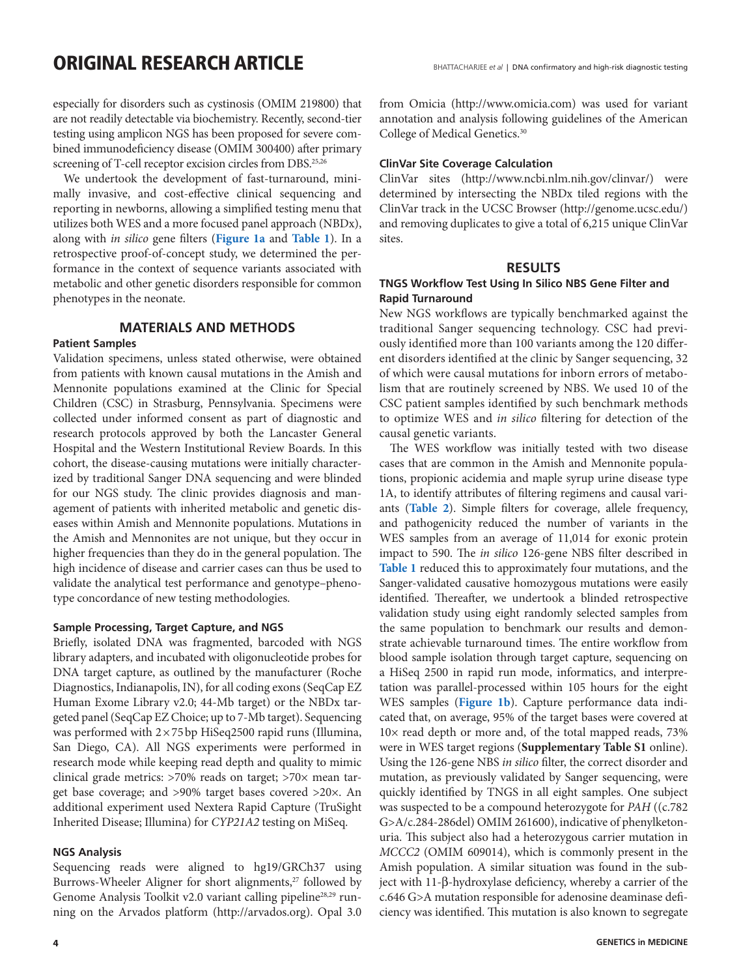especially for disorders such as cystinosis (OMIM 219800) that are not readily detectable via biochemistry. Recently, second-tier testing using amplicon NGS has been proposed for severe combined immunodeficiency disease (OMIM 300400) after primary screening of T-cell receptor excision circles from DBS.<sup>25,26</sup>

We undertook the development of fast-turnaround, minimally invasive, and cost-effective clinical sequencing and reporting in newborns, allowing a simplified testing menu that utilizes both WES and a more focused panel approach (NBDx), along with *in silico* gene filters (**Figure 1a** and **Table 1**). In a retrospective proof-of-concept study, we determined the performance in the context of sequence variants associated with metabolic and other genetic disorders responsible for common phenotypes in the neonate.

## **MATERIALS AND METHODS**

### **Patient Samples**

Validation specimens, unless stated otherwise, were obtained from patients with known causal mutations in the Amish and Mennonite populations examined at the Clinic for Special Children (CSC) in Strasburg, Pennsylvania. Specimens were collected under informed consent as part of diagnostic and research protocols approved by both the Lancaster General Hospital and the Western Institutional Review Boards. In this cohort, the disease-causing mutations were initially characterized by traditional Sanger DNA sequencing and were blinded for our NGS study. The clinic provides diagnosis and management of patients with inherited metabolic and genetic diseases within Amish and Mennonite populations. Mutations in the Amish and Mennonites are not unique, but they occur in higher frequencies than they do in the general population. The high incidence of disease and carrier cases can thus be used to validate the analytical test performance and genotype–phenotype concordance of new testing methodologies.

#### **Sample Processing, Target Capture, and NGS**

Briefly, isolated DNA was fragmented, barcoded with NGS library adapters, and incubated with oligonucleotide probes for DNA target capture, as outlined by the manufacturer (Roche Diagnostics, Indianapolis, IN), for all coding exons (SeqCap EZ Human Exome Library v2.0; 44-Mb target) or the NBDx targeted panel (SeqCap EZ Choice; up to 7-Mb target). Sequencing was performed with 2×75bp HiSeq2500 rapid runs (Illumina, San Diego, CA). All NGS experiments were performed in research mode while keeping read depth and quality to mimic clinical grade metrics: >70% reads on target; >70× mean target base coverage; and >90% target bases covered >20×. An additional experiment used Nextera Rapid Capture (TruSight Inherited Disease; Illumina) for *CYP21A2* testing on MiSeq.

#### **NGS Analysis**

Sequencing reads were aligned to hg19/GRCh37 using Burrows-Wheeler Aligner for short alignments,<sup>27</sup> followed by Genome Analysis Toolkit v2.0 variant calling pipeline<sup>28,29</sup> running on the Arvados platform [\(http://arvados.org](http://arvados.org)). Opal 3.0 from Omicia [\(http://www.omicia.com](http://www.omicia.com)) was used for variant annotation and analysis following guidelines of the American College of Medical Genetics.30

#### **ClinVar Site Coverage Calculation**

ClinVar sites [\(http://www.ncbi.nlm.nih.gov/clinvar/\)](http://www.ncbi.nlm.nih.gov/clinvar/) were determined by intersecting the NBDx tiled regions with the ClinVar track in the UCSC Browser [\(http://genome.ucsc.edu/\)](http://genome.ucsc.edu/) and removing duplicates to give a total of 6,215 unique ClinVar sites.

#### **RESULTS**

### **TNGS Workflow Test Using In Silico NBS Gene Filter and Rapid Turnaround**

New NGS workflows are typically benchmarked against the traditional Sanger sequencing technology. CSC had previously identified more than 100 variants among the 120 different disorders identified at the clinic by Sanger sequencing, 32 of which were causal mutations for inborn errors of metabolism that are routinely screened by NBS. We used 10 of the CSC patient samples identified by such benchmark methods to optimize WES and *in silico* filtering for detection of the causal genetic variants.

The WES workflow was initially tested with two disease cases that are common in the Amish and Mennonite populations, propionic acidemia and maple syrup urine disease type 1A, to identify attributes of filtering regimens and causal variants (**Table 2**). Simple filters for coverage, allele frequency, and pathogenicity reduced the number of variants in the WES samples from an average of 11,014 for exonic protein impact to 590. The *in silico* 126-gene NBS filter described in **Table 1** reduced this to approximately four mutations, and the Sanger-validated causative homozygous mutations were easily identified. Thereafter, we undertook a blinded retrospective validation study using eight randomly selected samples from the same population to benchmark our results and demonstrate achievable turnaround times. The entire workflow from blood sample isolation through target capture, sequencing on a HiSeq 2500 in rapid run mode, informatics, and interpretation was parallel-processed within 105 hours for the eight WES samples (**Figure 1b**). Capture performance data indicated that, on average, 95% of the target bases were covered at 10× read depth or more and, of the total mapped reads, 73% were in WES target regions (**Supplementary Table S1** online). Using the 126-gene NBS *in silico* filter, the correct disorder and mutation, as previously validated by Sanger sequencing, were quickly identified by TNGS in all eight samples. One subject was suspected to be a compound heterozygote for *PAH* ((c.782 G>A/c.284-286del) OMIM 261600), indicative of phenylketonuria. This subject also had a heterozygous carrier mutation in *MCCC2* (OMIM 609014), which is commonly present in the Amish population. A similar situation was found in the subject with 11-β-hydroxylase deficiency, whereby a carrier of the c.646 G>A mutation responsible for adenosine deaminase deficiency was identified. This mutation is also known to segregate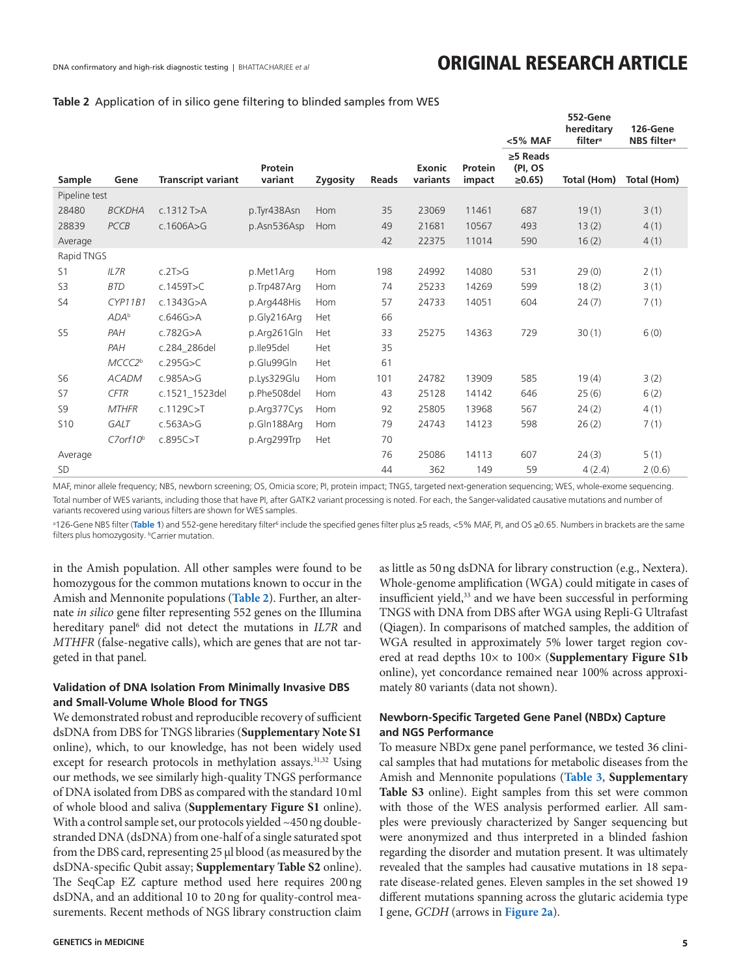#### **Table 2** Application of in silico gene filtering to blinded samples from WES

|                |                    |                           |                    |          |              |                           |                   | <5% MAF                                  | 552-Gene<br>hereditary<br>filter <sup>a</sup> | 126-Gene<br><b>NBS</b> filter <sup>a</sup> |
|----------------|--------------------|---------------------------|--------------------|----------|--------------|---------------------------|-------------------|------------------------------------------|-----------------------------------------------|--------------------------------------------|
| Sample         | Gene               | <b>Transcript variant</b> | Protein<br>variant | Zygosity | <b>Reads</b> | <b>Exonic</b><br>variants | Protein<br>impact | $\geq$ 5 Reads<br>(PI, OS<br>$\geq 0.65$ | Total (Hom)                                   | Total (Hom)                                |
| Pipeline test  |                    |                           |                    |          |              |                           |                   |                                          |                                               |                                            |
| 28480          | <b>BCKDHA</b>      | $c.1312$ T>A              | p.Tyr438Asn        | Hom      | 35           | 23069                     | 11461             | 687                                      | 19(1)                                         | 3(1)                                       |
| 28839          | PCCB               | c.1606A > G               | p.Asn536Asp        | Hom      | 49           | 21681                     | 10567             | 493                                      | 13(2)                                         | 4(1)                                       |
| Average        |                    |                           |                    |          | 42           | 22375                     | 11014             | 590                                      | 16(2)                                         | 4(1)                                       |
| Rapid TNGS     |                    |                           |                    |          |              |                           |                   |                                          |                                               |                                            |
| S <sub>1</sub> | ILZR               | c.2T>G                    | p.Met1Arg          | Hom      | 198          | 24992                     | 14080             | 531                                      | 29(0)                                         | 2(1)                                       |
| S <sub>3</sub> | <b>BTD</b>         | c.1459T>C                 | p.Trp487Arg        | Hom      | 74           | 25233                     | 14269             | 599                                      | 18(2)                                         | 3(1)                                       |
| S4             | CYP11B1            | c.1343G > A               | p.Arg448His        | Hom      | 57           | 24733                     | 14051             | 604                                      | 24(7)                                         | 7(1)                                       |
|                | ADA <sup>b</sup>   | c.646G > A                | p.Gly216Arg        | Het      | 66           |                           |                   |                                          |                                               |                                            |
| S <sub>5</sub> | PAH                | c.782G > A                | p.Arg261Gln        | Het      | 33           | 25275                     | 14363             | 729                                      | 30(1)                                         | 6(0)                                       |
|                | PAH                | c.284 286del              | p.lle95del         | Het      | 35           |                           |                   |                                          |                                               |                                            |
|                | MCCC2 <sup>b</sup> | c.295G > C                | p.Glu99Gln         | Het      | 61           |                           |                   |                                          |                                               |                                            |
| <b>S6</b>      | <b>ACADM</b>       | c.985A>G                  | p.Lys329Glu        | Hom      | 101          | 24782                     | 13909             | 585                                      | 19(4)                                         | 3(2)                                       |
| <b>S7</b>      | <b>CFTR</b>        | c.1521_1523del            | p.Phe508del        | Hom      | 43           | 25128                     | 14142             | 646                                      | 25(6)                                         | 6(2)                                       |
| S <sub>9</sub> | <b>MTHFR</b>       | c.1129C > T               | p.Arg377Cys        | Hom      | 92           | 25805                     | 13968             | 567                                      | 24(2)                                         | 4(1)                                       |
| <b>S10</b>     | <b>GALT</b>        | c.563A>G                  | p.Gln188Arg        | Hom      | 79           | 24743                     | 14123             | 598                                      | 26(2)                                         | 7(1)                                       |
|                | $C7$ orf $10b$     | c.895C > T                | p.Arg299Trp        | Het      | 70           |                           |                   |                                          |                                               |                                            |
| Average        |                    |                           |                    |          | 76           | 25086                     | 14113             | 607                                      | 24(3)                                         | 5(1)                                       |
| <b>SD</b>      |                    |                           |                    |          | 44           | 362                       | 149               | 59                                       | 4(2.4)                                        | 2(0.6)                                     |

MAF, minor allele frequency; NBS, newborn screening; OS, Omicia score; PI, protein impact; TNGS, targeted next-generation sequencing; WES, whole-exome sequencing. Total number of WES variants, including those that have PI, after GATK2 variant processing is noted. For each, the Sanger-validated causative mutations and number of variants recovered using various filters are shown for WES samples.

<sup>a</sup>126-Gene NBS filter (**Table 1**) and 552-gene hereditary filter<sup>6</sup> include the specified genes filter plus ≥5 reads, <5% MAF, PI, and OS ≥0.65. Numbers in brackets are the same filters plus homozygosity. *bCarrier mutation*.

in the Amish population. All other samples were found to be homozygous for the common mutations known to occur in the Amish and Mennonite populations (**Table 2**). Further, an alternate *in silico* gene filter representing 552 genes on the Illumina hereditary panel<sup>6</sup> did not detect the mutations in *IL7R* and *MTHFR* (false-negative calls), which are genes that are not targeted in that panel.

### **Validation of DNA Isolation From Minimally Invasive DBS and Small-Volume Whole Blood for TNGS**

We demonstrated robust and reproducible recovery of sufficient dsDNA from DBS for TNGS libraries (**Supplementary Note S1** online), which, to our knowledge, has not been widely used except for research protocols in methylation assays.<sup>31,32</sup> Using our methods, we see similarly high-quality TNGS performance of DNA isolated from DBS as compared with the standard 10ml of whole blood and saliva (**Supplementary Figure S1** online). With a control sample set, our protocols yielded ~450ng doublestranded DNA (dsDNA) from one-half of a single saturated spot from the DBS card, representing 25 µl blood (as measured by the dsDNA-specific Qubit assay; **Supplementary Table S2** online). The SeqCap EZ capture method used here requires 200ng dsDNA, and an additional 10 to 20ng for quality-control measurements. Recent methods of NGS library construction claim

as little as 50ng dsDNA for library construction (e.g., Nextera). Whole-genome amplification (WGA) could mitigate in cases of insufficient yield,<sup>33</sup> and we have been successful in performing TNGS with DNA from DBS after WGA using Repli-G Ultrafast (Qiagen). In comparisons of matched samples, the addition of WGA resulted in approximately 5% lower target region covered at read depths 10× to 100× (**Supplementary Figure S1b** online), yet concordance remained near 100% across approximately 80 variants (data not shown).

## **Newborn-Specific Targeted Gene Panel (NBDx) Capture and NGS Performance**

To measure NBDx gene panel performance, we tested 36 clinical samples that had mutations for metabolic diseases from the Amish and Mennonite populations (**Table 3**, **Supplementary Table S3** online). Eight samples from this set were common with those of the WES analysis performed earlier. All samples were previously characterized by Sanger sequencing but were anonymized and thus interpreted in a blinded fashion regarding the disorder and mutation present. It was ultimately revealed that the samples had causative mutations in 18 separate disease-related genes. Eleven samples in the set showed 19 different mutations spanning across the glutaric acidemia type I gene, *GCDH* (arrows in **Figure 2a**).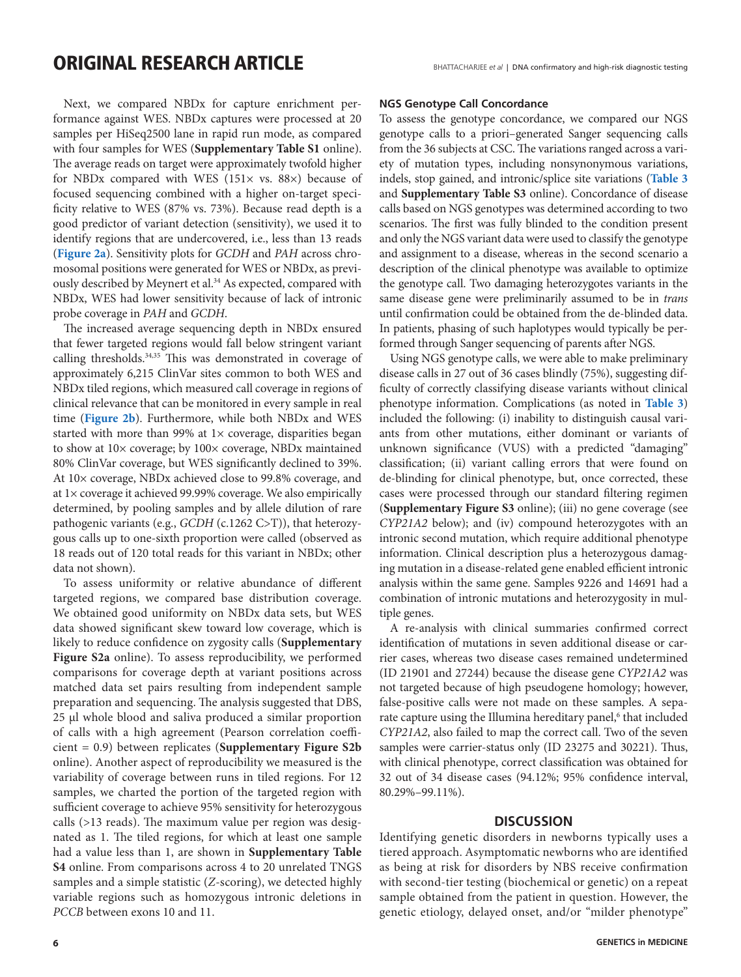Next, we compared NBDx for capture enrichment performance against WES. NBDx captures were processed at 20 samples per HiSeq2500 lane in rapid run mode, as compared with four samples for WES (**Supplementary Table S1** online). The average reads on target were approximately twofold higher for NBDx compared with WES (151× vs. 88×) because of focused sequencing combined with a higher on-target specificity relative to WES (87% vs. 73%). Because read depth is a good predictor of variant detection (sensitivity), we used it to identify regions that are undercovered, i.e., less than 13 reads (**Figure 2a**). Sensitivity plots for *GCDH* and *PAH* across chromosomal positions were generated for WES or NBDx, as previously described by Meynert et al.<sup>34</sup> As expected, compared with NBDx, WES had lower sensitivity because of lack of intronic probe coverage in *PAH* and *GCDH*.

The increased average sequencing depth in NBDx ensured that fewer targeted regions would fall below stringent variant calling thresholds.34,35 This was demonstrated in coverage of approximately 6,215 ClinVar sites common to both WES and NBDx tiled regions, which measured call coverage in regions of clinical relevance that can be monitored in every sample in real time (**Figure 2b**). Furthermore, while both NBDx and WES started with more than 99% at  $1\times$  coverage, disparities began to show at 10× coverage; by 100× coverage, NBDx maintained 80% ClinVar coverage, but WES significantly declined to 39%. At 10× coverage, NBDx achieved close to 99.8% coverage, and at 1× coverage it achieved 99.99% coverage. We also empirically determined, by pooling samples and by allele dilution of rare pathogenic variants (e.g., *GCDH* (c.1262 C>T)), that heterozygous calls up to one-sixth proportion were called (observed as 18 reads out of 120 total reads for this variant in NBDx; other data not shown).

To assess uniformity or relative abundance of different targeted regions, we compared base distribution coverage. We obtained good uniformity on NBDx data sets, but WES data showed significant skew toward low coverage, which is likely to reduce confidence on zygosity calls (**Supplementary Figure S2a** online). To assess reproducibility, we performed comparisons for coverage depth at variant positions across matched data set pairs resulting from independent sample preparation and sequencing. The analysis suggested that DBS, 25 µl whole blood and saliva produced a similar proportion of calls with a high agreement (Pearson correlation coefficient = 0.9) between replicates (**Supplementary Figure S2b** online). Another aspect of reproducibility we measured is the variability of coverage between runs in tiled regions. For 12 samples, we charted the portion of the targeted region with sufficient coverage to achieve 95% sensitivity for heterozygous calls (>13 reads). The maximum value per region was designated as 1. The tiled regions, for which at least one sample had a value less than 1, are shown in **Supplementary Table S4** online. From comparisons across 4 to 20 unrelated TNGS samples and a simple statistic (*Z*-scoring), we detected highly variable regions such as homozygous intronic deletions in *PCCB* between exons 10 and 11.

#### **NGS Genotype Call Concordance**

To assess the genotype concordance, we compared our NGS genotype calls to a priori–generated Sanger sequencing calls from the 36 subjects at CSC. The variations ranged across a variety of mutation types, including nonsynonymous variations, indels, stop gained, and intronic/splice site variations (**Table 3** and **Supplementary Table S3** online). Concordance of disease calls based on NGS genotypes was determined according to two scenarios. The first was fully blinded to the condition present and only the NGS variant data were used to classify the genotype and assignment to a disease, whereas in the second scenario a description of the clinical phenotype was available to optimize the genotype call. Two damaging heterozygotes variants in the same disease gene were preliminarily assumed to be in *trans* until confirmation could be obtained from the de-blinded data. In patients, phasing of such haplotypes would typically be performed through Sanger sequencing of parents after NGS.

Using NGS genotype calls, we were able to make preliminary disease calls in 27 out of 36 cases blindly (75%), suggesting difficulty of correctly classifying disease variants without clinical phenotype information. Complications (as noted in **Table 3**) included the following: (i) inability to distinguish causal variants from other mutations, either dominant or variants of unknown significance (VUS) with a predicted "damaging" classification; (ii) variant calling errors that were found on de-blinding for clinical phenotype, but, once corrected, these cases were processed through our standard filtering regimen (**Supplementary Figure S3** online); (iii) no gene coverage (see *CYP21A2* below); and (iv) compound heterozygotes with an intronic second mutation, which require additional phenotype information. Clinical description plus a heterozygous damaging mutation in a disease-related gene enabled efficient intronic analysis within the same gene. Samples 9226 and 14691 had a combination of intronic mutations and heterozygosity in multiple genes.

A re-analysis with clinical summaries confirmed correct identification of mutations in seven additional disease or carrier cases, whereas two disease cases remained undetermined (ID 21901 and 27244) because the disease gene *CYP21A2* was not targeted because of high pseudogene homology; however, false-positive calls were not made on these samples. A separate capture using the Illumina hereditary panel,<sup>6</sup> that included *CYP21A2*, also failed to map the correct call. Two of the seven samples were carrier-status only (ID 23275 and 30221). Thus, with clinical phenotype, correct classification was obtained for 32 out of 34 disease cases (94.12%; 95% confidence interval, 80.29%–99.11%).

#### **DISCUSSION**

Identifying genetic disorders in newborns typically uses a tiered approach. Asymptomatic newborns who are identified as being at risk for disorders by NBS receive confirmation with second-tier testing (biochemical or genetic) on a repeat sample obtained from the patient in question. However, the genetic etiology, delayed onset, and/or "milder phenotype"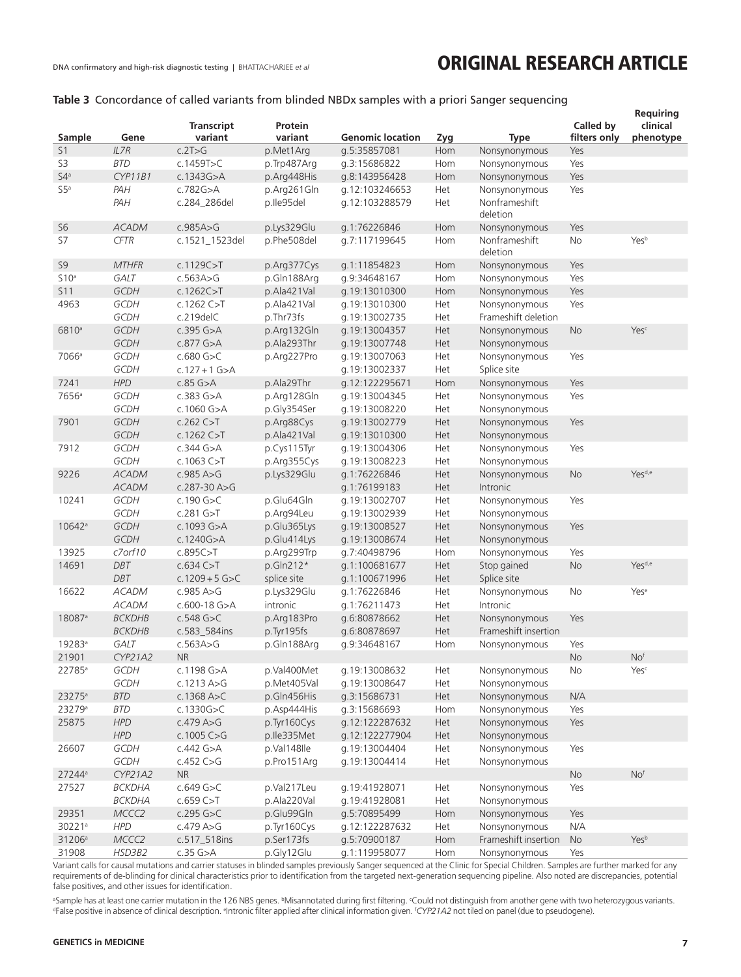## **Table 3** Concordance of called variants from blinded NBDx samples with a priori Sanger sequencing

|                    |                    |                   |             |                         |     |                           |              | Requiring          |
|--------------------|--------------------|-------------------|-------------|-------------------------|-----|---------------------------|--------------|--------------------|
|                    |                    | <b>Transcript</b> | Protein     |                         |     |                           | Called by    | clinical           |
| Sample             | Gene               | variant           | variant     | <b>Genomic location</b> | Zyg | <b>Type</b>               | filters only | phenotype          |
| S <sub>1</sub>     | ILZR<br><b>BTD</b> | c.2T>G            | p.Met1Arg   | g.5:35857081            | Hom | Nonsynonymous             | Yes          |                    |
| S3                 |                    | c.1459T>C         | p.Trp487Arg | g.3:15686822            | Hom | Nonsynonymous             | Yes          |                    |
| 54 <sup>a</sup>    | CYP11B1            | c.1343G > A       | p.Arg448His | g.8:143956428           | Hom | Nonsynonymous             | Yes          |                    |
| S5a                | PAH                | c.782G > A        | p.Arg261Gln | g.12:103246653          | Het | Nonsynonymous             | Yes          |                    |
|                    | PAH                | c.284_286del      | p.lle95del  | g.12:103288579          | Het | Nonframeshift<br>deletion |              |                    |
| S <sub>6</sub>     | <b>ACADM</b>       | c.985A>G          | p.Lys329Glu | g.1:76226846            | Hom | Nonsynonymous             | Yes          |                    |
| S7                 | <b>CFTR</b>        | c.1521_1523del    | p.Phe508del | g.7:117199645           | Hom | Nonframeshift<br>deletion | No           | Yesb               |
| S <sub>9</sub>     | <b>MTHFR</b>       | c.1129C > T       | p.Arg377Cys | g.1:11854823            | Hom | Nonsynonymous             | Yes          |                    |
| S10a               | <b>GALT</b>        | c.563A>G          | p.Gln188Arg | g.9:34648167            | Hom | Nonsynonymous             | Yes          |                    |
| S11                | GCDH               | c.1262C > T       | p.Ala421Val | g.19:13010300           | Hom | Nonsynonymous             | Yes          |                    |
| 4963               | <b>GCDH</b>        | c.1262 $C > T$    | p.Ala421Val | g.19:13010300           | Het | Nonsynonymous             | Yes          |                    |
|                    | GCDH               | c.219delC         | p.Thr73fs   | g.19:13002735           | Het | Frameshift deletion       |              |                    |
| 6810 <sup>a</sup>  | <b>GCDH</b>        | $c.395$ G $>A$    | p.Arg132Gln | g.19:13004357           | Het | Nonsynonymous             | <b>No</b>    | Yesc               |
|                    | GCDH               | $c.877$ G $>A$    | p.Ala293Thr | g.19:13007748           | Het | Nonsynonymous             |              |                    |
| 7066 <sup>a</sup>  | GCDH               | $c.680$ G>C       | p.Arg227Pro | g.19:13007063           | Het | Nonsynonymous             | Yes          |                    |
|                    | GCDH               | $c.127 + 1$ G>A   |             | g.19:13002337           | Het | Splice site               |              |                    |
| 7241               | <b>HPD</b>         | $c.85$ G $>A$     | p.Ala29Thr  | g.12:122295671          | Hom | Nonsynonymous             | Yes          |                    |
| 7656 <sup>a</sup>  | GCDH               | $c.383$ G $>A$    | p.Arg128Gln | g.19:13004345           | Het | Nonsynonymous             | Yes          |                    |
|                    | GCDH               | c.1060 G>A        | p.Gly354Ser | g.19:13008220           | Het | Nonsynonymous             |              |                    |
| 7901               | GCDH               | c.262 C > T       | p.Arg88Cys  | g.19:13002779           | Het | Nonsynonymous             | Yes          |                    |
|                    | GCDH               | c.1262 C > T      | p.Ala421Val | g.19:13010300           | Het | Nonsynonymous             |              |                    |
| 7912               | GCDH               | c.344 G>A         | p.Cys115Tyr | q.19:13004306           | Het | Nonsynonymous             | Yes          |                    |
|                    | GCDH               | $c.1063$ C $>$ T  | p.Arg355Cys | g.19:13008223           | Het | Nonsynonymous             |              |                    |
| 9226               | <b>ACADM</b>       | c.985A > G        | p.Lys329Glu | g.1:76226846            | Het | Nonsynonymous             | <b>No</b>    | Yes <sup>d,e</sup> |
|                    | <b>ACADM</b>       | $c.287 - 30A > G$ |             | g.1:76199183            | Het | Intronic                  |              |                    |
| 10241              | GCDH               | $c.190$ G>C       | p.Glu64Gln  | g.19:13002707           | Het | Nonsynonymous             | Yes          |                    |
|                    | GCDH               | $c.281$ G>T       | p.Arg94Leu  | g.19:13002939           | Het | Nonsynonymous             |              |                    |
| 10642 <sup>a</sup> | <b>GCDH</b>        | c.1093 G>A        | p.Glu365Lys | g.19:13008527           | Het | Nonsynonymous             | Yes          |                    |
|                    | <b>GCDH</b>        | c.1240G $>$ A     | p.Glu414Lys | g.19:13008674           | Het | Nonsynonymous             |              |                    |
| 13925              | c7orf10            | c.895C > T        | p.Arg299Trp | g.7:40498796            | Hom | Nonsynonymous             | Yes          |                    |
| 14691              | <b>DBT</b>         | c.634C > T        | p.Gln212*   | g.1:100681677           | Het | Stop gained               | <b>No</b>    | Yes <sup>d,e</sup> |
|                    | <b>DBT</b>         | $c.1209 + 5$ G>C  | splice site | g.1:100671996           | Het | Splice site               |              |                    |
| 16622              | ACADM              | c.985A > G        | p.Lys329Glu | g.1:76226846            | Het | Nonsynonymous             | No           | Yese               |
|                    | <b>ACADM</b>       | $c.600-18$ G>A    | intronic    | g.1:76211473            | Het | Intronic                  |              |                    |
| 18087 <sup>a</sup> | <b>BCKDHB</b>      | $c.548$ G $>C$    | p.Arg183Pro | g.6:80878662            | Het | Nonsynonymous             | Yes          |                    |
|                    | <b>BCKDHB</b>      | c.583_584ins      | p.Tyr195fs  | g.6:80878697            | Het | Frameshift insertion      |              |                    |
| 19283 <sup>a</sup> | GALT               | c.563A>G          | p.Gln188Arg | g.9:34648167            | Hom | Nonsynonymous             | Yes          |                    |
| 21901              | <b>CYP21A2</b>     | <b>NR</b>         |             |                         |     |                           | <b>No</b>    | No <sup>f</sup>    |
| 22785 <sup>a</sup> | GCDH               | c.1198 G>A        | p.Val400Met | g.19:13008632           | Het | Nonsynonymous             | No           | Yesc               |
|                    | GCDH               | c.1213A > G       | p.Met405Val | g.19:13008647           | Het | Nonsynonymous             |              |                    |
| 23275 <sup>a</sup> | <b>BTD</b>         | $c.1368$ A>C      | p.Gln456His | g.3:15686731            | Het | Nonsynonymous             | N/A          |                    |
| 23279 <sup>a</sup> | <b>BTD</b>         | c.1330G $>$ C     | p.Asp444His | g.3:15686693            | Hom | Nonsynonymous             | Yes          |                    |
| 25875              | <b>HPD</b>         | c.479A>G          | p.Tyr160Cys | g.12:122287632          | Het | Nonsynonymous             | Yes          |                    |
|                    | <b>HPD</b>         | $c.1005$ C>G      | p.lle335Met | g.12:122277904          | Het | Nonsynonymous             |              |                    |
| 26607              | GCDH               | c.442 $G > A$     | p.Val148lle | g.19:13004404           | Het | Nonsynonymous             | Yes          |                    |
|                    | GCDH               | c.452 $C > G$     | p.Pro151Arg | g.19:13004414           | Het | Nonsynonymous             |              |                    |
| 27244 <sup>a</sup> | CYP21A2            | <b>NR</b>         |             |                         |     |                           | No           | No <sup>f</sup>    |
| 27527              | <b>BCKDHA</b>      | c.649 $G > C$     | p.Val217Leu | g.19:41928071           | Het | Nonsynonymous             | Yes          |                    |
|                    | <b>BCKDHA</b>      | c.659C>T          | p.Ala220Val | g.19:41928081           | Het | Nonsynonymous             |              |                    |
| 29351              | MCCC2              | $c.295$ G>C       | p.Glu99Gln  | g.5:70895499            | Hom | Nonsynonymous             | Yes          |                    |
| 30221ª             | <b>HPD</b>         | c.479A > G        | p.Tyr160Cys | g.12:122287632          | Het | Nonsynonymous             | N/A          |                    |
| 31206 <sup>a</sup> | MCCC2              | c.517_518ins      | p.Ser173fs  | g.5:70900187            | Hom | Frameshift insertion      | <b>No</b>    | Yesb               |
| 31908              | HSD3B2             | $c.35$ G $>A$     | p.Gly12Glu  | g.1:119958077           | Hom | Nonsynonymous             |              |                    |
|                    |                    |                   |             |                         |     |                           | Yes          |                    |

Variant calls for causal mutations and carrier statuses in blinded samples previously Sanger sequenced at the Clinic for Special Children. Samples are further marked for any requirements of de-blinding for clinical characteristics prior to identification from the targeted next-generation sequencing pipeline. Also noted are discrepancies, potential false positives, and other issues for identification.

@Sample has at least one carrier mutation in the 126 NBS genes. ®Misannotated during first filtering. «Could not distinguish from another gene with two heterozygous variants.<br>®False nositive in absence of clinical descript False positive in absence of clinical description. <sup>e</sup>Intronic filter applied after clinical information given. <sup>f</sup>CYP21A2 not tiled on panel (due to pseudogene).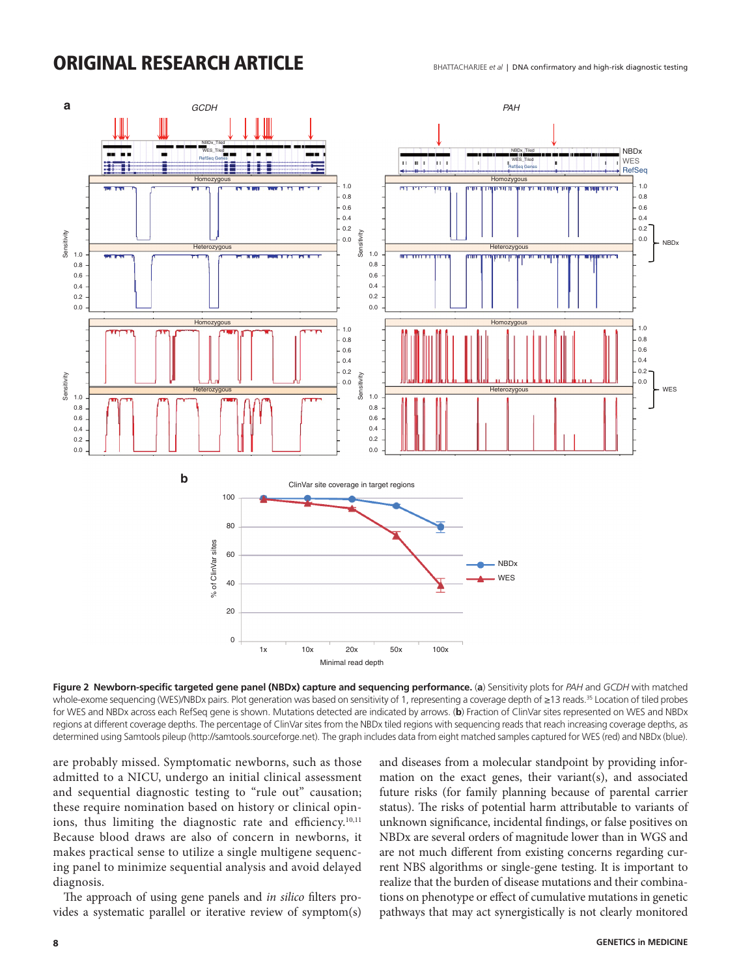

**Figure 2 Newborn-specific targeted gene panel (NBDx) capture and sequencing performance.** (**a**) Sensitivity plots for *PAH* and *GCDH* with matched whole-exome sequencing (WES)/NBDx pairs. Plot generation was based on sensitivity of 1, representing a coverage depth of ≥13 reads.<sup>35</sup> Location of tiled probes for WES and NBDx across each RefSeq gene is shown. Mutations detected are indicated by arrows. (**b**) Fraction of ClinVar sites represented on WES and NBDx regions at different coverage depths. The percentage of ClinVar sites from the NBDx tiled regions with sequencing reads that reach increasing coverage depths, as determined using Samtools pileup [\(http://samtools.sourceforge.net](http://samtools.sourceforge.net)). The graph includes data from eight matched samples captured for WES (red) and NBDx (blue).

are probably missed. Symptomatic newborns, such as those admitted to a NICU, undergo an initial clinical assessment and sequential diagnostic testing to "rule out" causation; these require nomination based on history or clinical opinions, thus limiting the diagnostic rate and efficiency.<sup>10,11</sup> Because blood draws are also of concern in newborns, it makes practical sense to utilize a single multigene sequencing panel to minimize sequential analysis and avoid delayed diagnosis.

The approach of using gene panels and *in silico* filters provides a systematic parallel or iterative review of symptom(s) and diseases from a molecular standpoint by providing information on the exact genes, their variant(s), and associated future risks (for family planning because of parental carrier status). The risks of potential harm attributable to variants of unknown significance, incidental findings, or false positives on NBDx are several orders of magnitude lower than in WGS and are not much different from existing concerns regarding current NBS algorithms or single-gene testing. It is important to realize that the burden of disease mutations and their combinations on phenotype or effect of cumulative mutations in genetic pathways that may act synergistically is not clearly monitored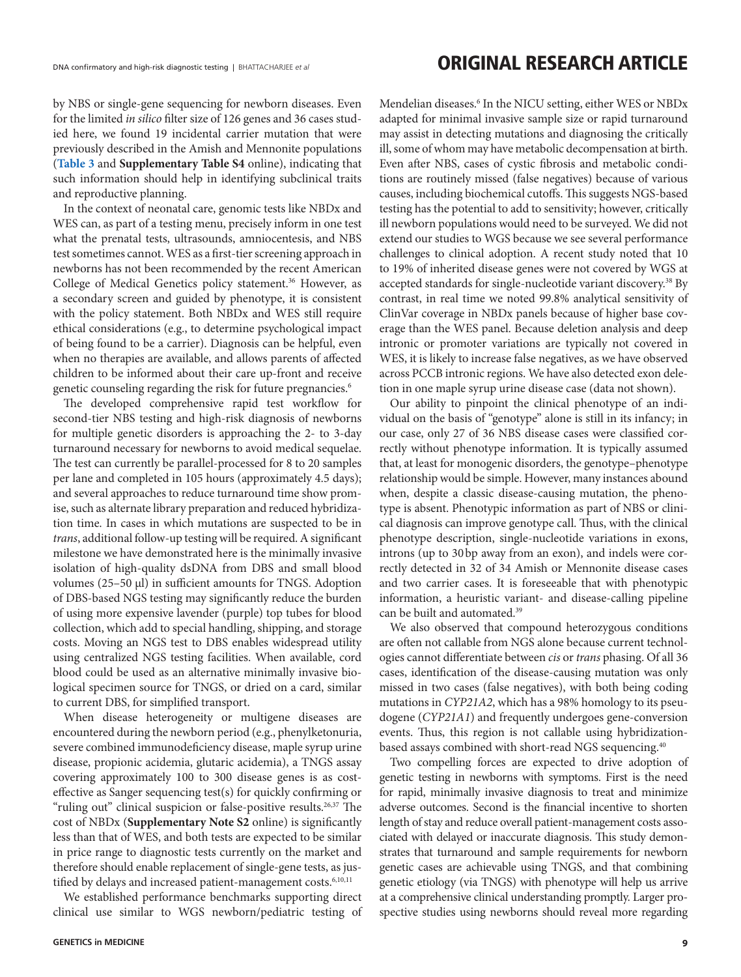by NBS or single-gene sequencing for newborn diseases. Even for the limited *in silico* filter size of 126 genes and 36 cases studied here, we found 19 incidental carrier mutation that were previously described in the Amish and Mennonite populations (**Table 3** and **Supplementary Table S4** online), indicating that such information should help in identifying subclinical traits and reproductive planning.

In the context of neonatal care, genomic tests like NBDx and WES can, as part of a testing menu, precisely inform in one test what the prenatal tests, ultrasounds, amniocentesis, and NBS test sometimes cannot. WES as a first-tier screening approach in newborns has not been recommended by the recent American College of Medical Genetics policy statement.<sup>36</sup> However, as a secondary screen and guided by phenotype, it is consistent with the policy statement. Both NBDx and WES still require ethical considerations (e.g., to determine psychological impact of being found to be a carrier). Diagnosis can be helpful, even when no therapies are available, and allows parents of affected children to be informed about their care up-front and receive genetic counseling regarding the risk for future pregnancies.<sup>6</sup>

The developed comprehensive rapid test workflow for second-tier NBS testing and high-risk diagnosis of newborns for multiple genetic disorders is approaching the 2- to 3-day turnaround necessary for newborns to avoid medical sequelae. The test can currently be parallel-processed for 8 to 20 samples per lane and completed in 105 hours (approximately 4.5 days); and several approaches to reduce turnaround time show promise, such as alternate library preparation and reduced hybridization time. In cases in which mutations are suspected to be in *trans*, additional follow-up testing will be required. A significant milestone we have demonstrated here is the minimally invasive isolation of high-quality dsDNA from DBS and small blood volumes (25–50 µl) in sufficient amounts for TNGS. Adoption of DBS-based NGS testing may significantly reduce the burden of using more expensive lavender (purple) top tubes for blood collection, which add to special handling, shipping, and storage costs. Moving an NGS test to DBS enables widespread utility using centralized NGS testing facilities. When available, cord blood could be used as an alternative minimally invasive biological specimen source for TNGS, or dried on a card, similar to current DBS, for simplified transport.

When disease heterogeneity or multigene diseases are encountered during the newborn period (e.g., phenylketonuria, severe combined immunodeficiency disease, maple syrup urine disease, propionic acidemia, glutaric acidemia), a TNGS assay covering approximately 100 to 300 disease genes is as costeffective as Sanger sequencing test(s) for quickly confirming or "ruling out" clinical suspicion or false-positive results.<sup>26,37</sup> The cost of NBDx (**Supplementary Note S2** online) is significantly less than that of WES, and both tests are expected to be similar in price range to diagnostic tests currently on the market and therefore should enable replacement of single-gene tests, as justified by delays and increased patient-management costs.<sup>6,10,11</sup>

We established performance benchmarks supporting direct clinical use similar to WGS newborn/pediatric testing of

Mendelian diseases.<sup>6</sup> In the NICU setting, either WES or NBDx adapted for minimal invasive sample size or rapid turnaround may assist in detecting mutations and diagnosing the critically ill, some of whom may have metabolic decompensation at birth. Even after NBS, cases of cystic fibrosis and metabolic conditions are routinely missed (false negatives) because of various causes, including biochemical cutoffs. This suggests NGS-based testing has the potential to add to sensitivity; however, critically ill newborn populations would need to be surveyed. We did not extend our studies to WGS because we see several performance challenges to clinical adoption. A recent study noted that 10 to 19% of inherited disease genes were not covered by WGS at accepted standards for single-nucleotide variant discovery.<sup>38</sup> By contrast, in real time we noted 99.8% analytical sensitivity of ClinVar coverage in NBDx panels because of higher base coverage than the WES panel. Because deletion analysis and deep intronic or promoter variations are typically not covered in WES, it is likely to increase false negatives, as we have observed across PCCB intronic regions. We have also detected exon deletion in one maple syrup urine disease case (data not shown).

Our ability to pinpoint the clinical phenotype of an individual on the basis of "genotype" alone is still in its infancy; in our case, only 27 of 36 NBS disease cases were classified correctly without phenotype information. It is typically assumed that, at least for monogenic disorders, the genotype–phenotype relationship would be simple. However, many instances abound when, despite a classic disease-causing mutation, the phenotype is absent. Phenotypic information as part of NBS or clinical diagnosis can improve genotype call. Thus, with the clinical phenotype description, single-nucleotide variations in exons, introns (up to 30bp away from an exon), and indels were correctly detected in 32 of 34 Amish or Mennonite disease cases and two carrier cases. It is foreseeable that with phenotypic information, a heuristic variant- and disease-calling pipeline can be built and automated.39

We also observed that compound heterozygous conditions are often not callable from NGS alone because current technologies cannot differentiate between *cis* or *trans* phasing. Of all 36 cases, identification of the disease-causing mutation was only missed in two cases (false negatives), with both being coding mutations in *CYP21A2*, which has a 98% homology to its pseudogene (*CYP21A1*) and frequently undergoes gene-conversion events. Thus, this region is not callable using hybridizationbased assays combined with short-read NGS sequencing.<sup>40</sup>

Two compelling forces are expected to drive adoption of genetic testing in newborns with symptoms. First is the need for rapid, minimally invasive diagnosis to treat and minimize adverse outcomes. Second is the financial incentive to shorten length of stay and reduce overall patient-management costs associated with delayed or inaccurate diagnosis. This study demonstrates that turnaround and sample requirements for newborn genetic cases are achievable using TNGS, and that combining genetic etiology (via TNGS) with phenotype will help us arrive at a comprehensive clinical understanding promptly. Larger prospective studies using newborns should reveal more regarding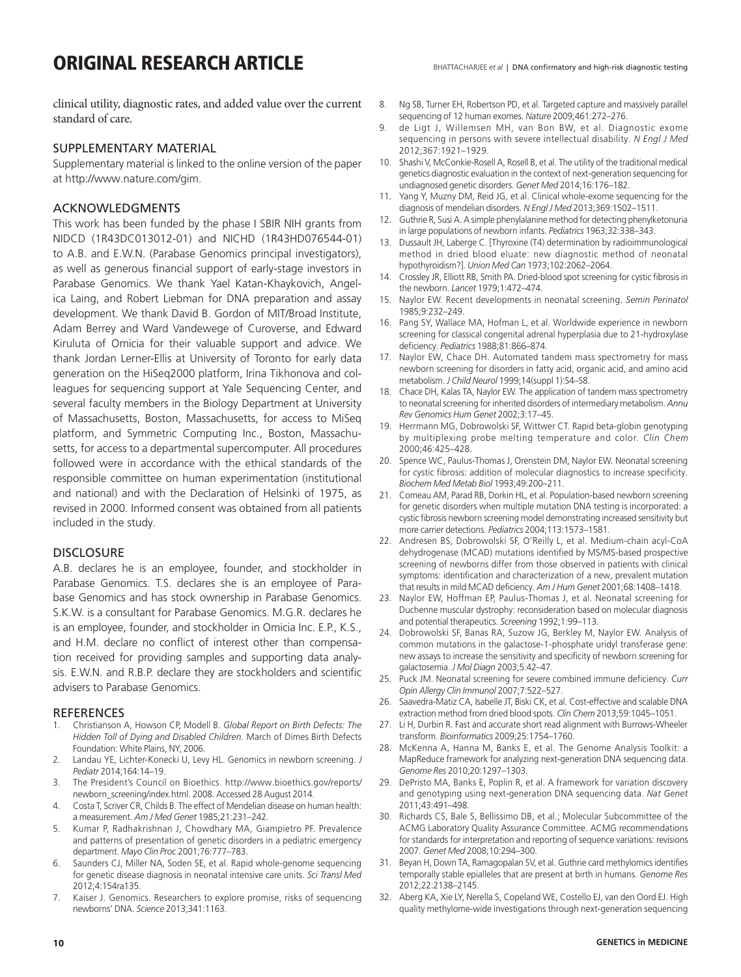clinical utility, diagnostic rates, and added value over the current standard of care.

### SUPPLEMENTARY MATERIAL

Supplementary material is linked to the online version of the paper at<http://www.nature.com/gim>.

#### ACKNOWLEDGMENTS

This work has been funded by the phase I SBIR NIH grants from NIDCD (1R43DC013012-01) and NICHD (1R43HD076544-01) to A.B. and E.W.N. (Parabase Genomics principal investigators), as well as generous financial support of early-stage investors in Parabase Genomics. We thank Yael Katan-Khaykovich, Angelica Laing, and Robert Liebman for DNA preparation and assay development. We thank David B. Gordon of MIT/Broad Institute, Adam Berrey and Ward Vandewege of Curoverse, and Edward Kiruluta of Omicia for their valuable support and advice. We thank Jordan Lerner-Ellis at University of Toronto for early data generation on the HiSeq2000 platform, Irina Tikhonova and colleagues for sequencing support at Yale Sequencing Center, and several faculty members in the Biology Department at University of Massachusetts, Boston, Massachusetts, for access to MiSeq platform, and Symmetric Computing Inc., Boston, Massachusetts, for access to a departmental supercomputer. All procedures followed were in accordance with the ethical standards of the responsible committee on human experimentation (institutional and national) and with the Declaration of Helsinki of 1975, as revised in 2000. Informed consent was obtained from all patients included in the study.

### **DISCLOSURE**

A.B. declares he is an employee, founder, and stockholder in Parabase Genomics. T.S. declares she is an employee of Parabase Genomics and has stock ownership in Parabase Genomics. S.K.W. is a consultant for Parabase Genomics. M.G.R. declares he is an employee, founder, and stockholder in Omicia Inc. E.P., K.S., and H.M. declare no conflict of interest other than compensation received for providing samples and supporting data analysis. E.W.N. and R.B.P. declare they are stockholders and scientific advisers to Parabase Genomics.

#### **REFERENCES**

- 1. Christianson A, Howson CP, Modell B. *Global Report on Birth Defects: The Hidden Toll of Dying and Disabled Children.* March of Dimes Birth Defects Foundation: White Plains, NY, 2006.
- 2. Landau YE, Lichter-Konecki U, Levy HL. Genomics in newborn screening. *J Pediatr* 2014;164:14–19.
- 3. The President's Council on Bioethics. [http://www.bioethics.gov/reports/](http://www.bioethics.gov/reports/newborn_screening/index.html) [newborn\\_screening/index.html.](http://www.bioethics.gov/reports/newborn_screening/index.html) 2008. Accessed 28 August 2014.
- 4. Costa T, Scriver CR, Childs B. The effect of Mendelian disease on human health: a measurement. *Am J Med Genet* 1985;21:231–242.
- 5. Kumar P, Radhakrishnan J, Chowdhary MA, Giampietro PF. Prevalence and patterns of presentation of genetic disorders in a pediatric emergency department. *Mayo Clin Proc* 2001;76:777–783.
- 6. Saunders CJ, Miller NA, Soden SE, et al. Rapid whole-genome sequencing for genetic disease diagnosis in neonatal intensive care units. *Sci Transl Med* 2012;4:154ra135.
- 7. Kaiser J. Genomics. Researchers to explore promise, risks of sequencing newborns' DNA. *Science* 2013;341:1163.
- 8. Ng SB, Turner EH, Robertson PD, et al. Targeted capture and massively parallel sequencing of 12 human exomes. *Nature* 2009;461:272–276.
- 9. de Ligt J, Willemsen MH, van Bon BW, et al. Diagnostic exome sequencing in persons with severe intellectual disability. *N Engl J Med* 2012;367:1921–1929.
- 10. Shashi V, McConkie-Rosell A, Rosell B, et al. The utility of the traditional medical genetics diagnostic evaluation in the context of next-generation sequencing for undiagnosed genetic disorders. *Genet Med* 2014;16:176–182.
- 11. Yang Y, Muzny DM, Reid JG, et al. Clinical whole-exome sequencing for the diagnosis of mendelian disorders. *N Engl J Med* 2013;369:1502–1511.
- 12. Guthrie R, Susi A. A simple phenylalanine method for detecting phenylketonuria in large populations of newborn infants. *Pediatrics* 1963;32:338–343.
- 13. Dussault JH, Laberge C. [Thyroxine (T4) determination by radioimmunological method in dried blood eluate: new diagnostic method of neonatal hypothyroidism?]. *Union Med Can* 1973;102:2062–2064.
- 14. Crossley JR, Elliott RB, Smith PA. Dried-blood spot screening for cystic fibrosis in the newborn. *Lancet* 1979;1:472–474.
- 15. Naylor EW. Recent developments in neonatal screening. *Semin Perinatol* 1985;9:232–249.
- 16. Pang SY, Wallace MA, Hofman L, et al. Worldwide experience in newborn screening for classical congenital adrenal hyperplasia due to 21-hydroxylase deficiency. *Pediatrics* 1988;81:866–874.
- 17. Naylor EW, Chace DH. Automated tandem mass spectrometry for mass newborn screening for disorders in fatty acid, organic acid, and amino acid metabolism. *J Child Neurol* 1999;14(suppl 1):S4–S8.
- 18. Chace DH, Kalas TA, Naylor EW. The application of tandem mass spectrometry to neonatal screening for inherited disorders of intermediary metabolism. *Annu Rev Genomics Hum Genet* 2002;3:17–45.
- 19. Herrmann MG, Dobrowolski SF, Wittwer CT. Rapid beta-globin genotyping by multiplexing probe melting temperature and color. *Clin Chem* 2000;46:425–428.
- 20. Spence WC, Paulus-Thomas J, Orenstein DM, Naylor EW. Neonatal screening for cystic fibrosis: addition of molecular diagnostics to increase specificity. *Biochem Med Metab Biol* 1993;49:200–211.
- 21. Comeau AM, Parad RB, Dorkin HL, et al. Population-based newborn screening for genetic disorders when multiple mutation DNA testing is incorporated: a cystic fibrosis newborn screening model demonstrating increased sensitivity but more carrier detections. *Pediatrics* 2004;113:1573–1581.
- 22. Andresen BS, Dobrowolski SF, O'Reilly L, et al. Medium-chain acyl-CoA dehydrogenase (MCAD) mutations identified by MS/MS-based prospective screening of newborns differ from those observed in patients with clinical symptoms: identification and characterization of a new, prevalent mutation that results in mild MCAD deficiency. *Am J Hum Genet* 2001;68:1408–1418.
- 23. Naylor EW, Hoffman EP, Paulus-Thomas J, et al. Neonatal screening for Duchenne muscular dystrophy: reconsideration based on molecular diagnosis and potential therapeutics. *Screening* 1992;1:99–113.
- 24. Dobrowolski SF, Banas RA, Suzow JG, Berkley M, Naylor EW. Analysis of common mutations in the galactose-1-phosphate uridyl transferase gene: new assays to increase the sensitivity and specificity of newborn screening for galactosemia. *J Mol Diagn* 2003;5:42–47.
- 25. Puck JM. Neonatal screening for severe combined immune deficiency. *Curr Opin Allergy Clin Immunol* 2007;7:522–527.
- 26. Saavedra-Matiz CA, Isabelle JT, Biski CK, et al. Cost-effective and scalable DNA extraction method from dried blood spots. *Clin Chem* 2013;59:1045–1051.
- 27. Li H, Durbin R. Fast and accurate short read alignment with Burrows-Wheeler transform. *Bioinformatics* 2009;25:1754–1760.
- 28. McKenna A, Hanna M, Banks E, et al. The Genome Analysis Toolkit: a MapReduce framework for analyzing next-generation DNA sequencing data. *Genome Res* 2010;20:1297–1303.
- 29. DePristo MA, Banks E, Poplin R, et al. A framework for variation discovery and genotyping using next-generation DNA sequencing data. *Nat Genet* 2011;43:491–498.
- 30. Richards CS, Bale S, Bellissimo DB, et al.; Molecular Subcommittee of the ACMG Laboratory Quality Assurance Committee. ACMG recommendations for standards for interpretation and reporting of sequence variations: revisions 2007. *Genet Med* 2008;10:294–300.
- 31. Beyan H, Down TA, Ramagopalan SV, et al. Guthrie card methylomics identifies temporally stable epialleles that are present at birth in humans. *Genome Res* 2012;22:2138–2145.
- 32. Aberg KA, Xie LY, Nerella S, Copeland WE, Costello EJ, van den Oord EJ. High quality methylome-wide investigations through next-generation sequencing